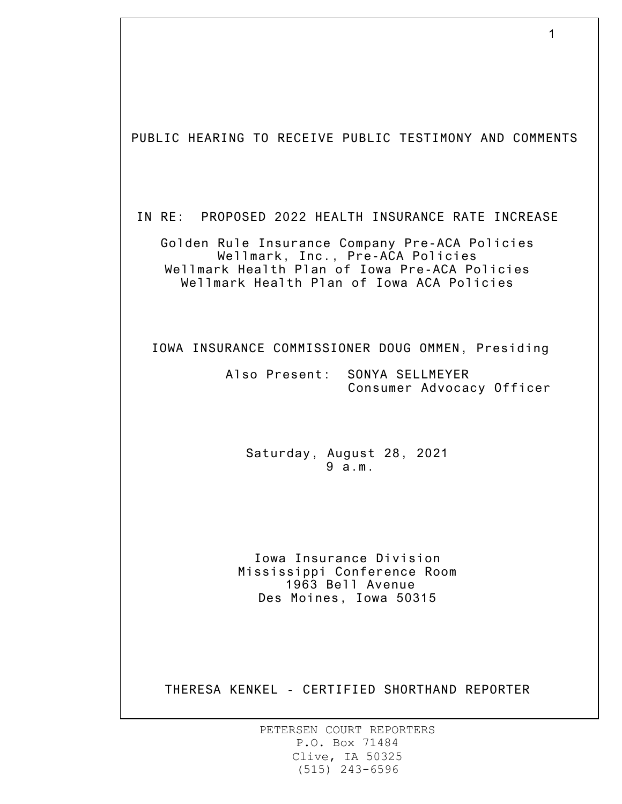1 PUBLIC HEARING TO RECEIVE PUBLIC TESTIMONY AND COMMENTS IN RE: PROPOSED 2022 HEALTH INSURANCE RATE INCREASE Golden Rule Insurance Company Pre-ACA Policies Wellmark, Inc., Pre-ACA Policies Wellmark Health Plan of Iowa Pre-ACA Policies Wellmark Health Plan of Iowa ACA Policies IOWA INSURANCE COMMISSIONER DOUG OMMEN, Presiding Also Present: SONYA SELLMEYER Consumer Advocacy Officer Saturday, August 28, 2021 9 a.m. Iowa Insurance Division Mississippi Conference Room 1963 Bell Avenue Des Moines, Iowa 50315 THERESA KENKEL - CERTIFIED SHORTHAND REPORTER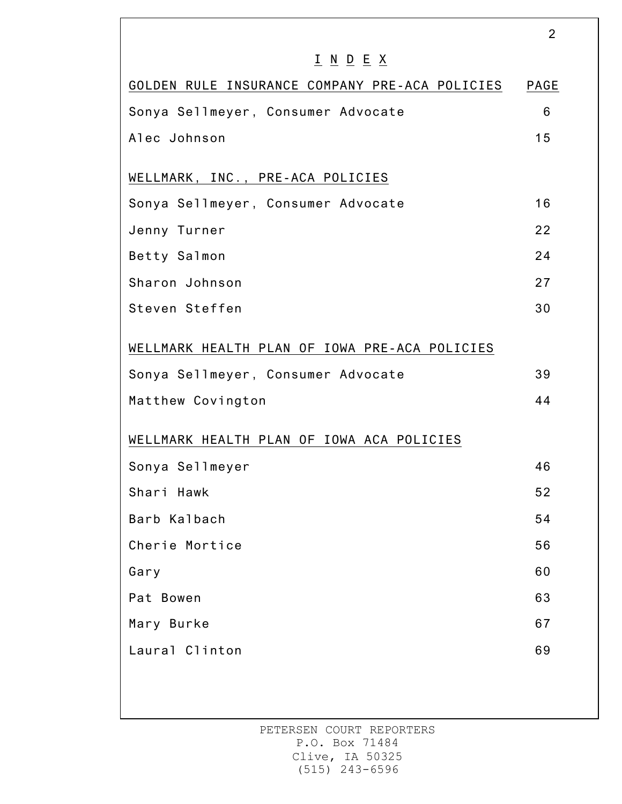|                                                                                 | 2    |
|---------------------------------------------------------------------------------|------|
| $\underline{I}$ $\underline{N}$ $\underline{D}$ $\underline{E}$ $\underline{X}$ |      |
| GOLDEN RULE INSURANCE COMPANY PRE-ACA POLICIES                                  | PAGE |
| Sonya Sellmeyer, Consumer Advocate                                              | 6    |
| Alec Johnson                                                                    | 15   |
| WELLMARK, INC., PRE-ACA POLICIES                                                |      |
| Sonya Sellmeyer, Consumer Advocate                                              | 16   |
| Jenny Turner                                                                    | 22   |
| Betty Salmon                                                                    | 24   |
| Sharon Johnson                                                                  | 27   |
| Steven Steffen                                                                  | 30   |
| WELLMARK HEALTH PLAN OF IOWA PRE-ACA POLICIES                                   |      |
| Sonya Sellmeyer, Consumer Advocate                                              | 39   |
| Matthew Covington                                                               | 44   |
| WELLMARK HEALTH PLAN OF IOWA ACA POLICIES                                       |      |
| Sonya Sellmeyer                                                                 | 46   |
| Shari Hawk                                                                      | 52   |
| Barb Kalbach                                                                    | 54   |
| Cherie Mortice                                                                  | 56   |
| Gary                                                                            | 60   |
| Pat Bowen                                                                       | 63   |
| Mary Burke                                                                      | 67   |
| Laural Clinton                                                                  | 69   |
|                                                                                 |      |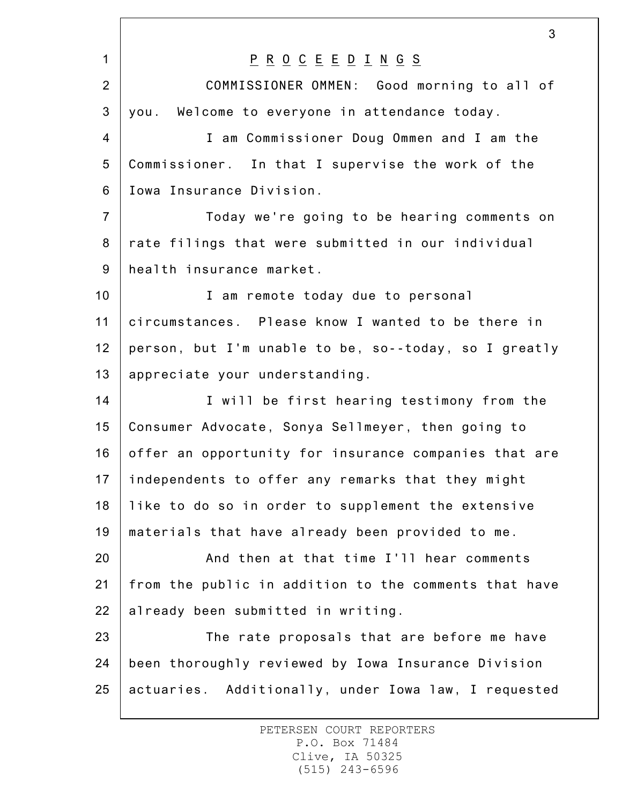1 2 3 4 5 6 7 8 9 10 11 12 13 14 15 16 17 18 19 20 21 22 23 24 25 3 P R O C E E D I N G S COMMISSIONER OMMEN: Good morning to all of you. Welcome to everyone in attendance today. I am Commissioner Doug Ommen and I am the Commissioner. In that I supervise the work of the Iowa Insurance Division. Today we're going to be hearing comments on rate filings that were submitted in our individual health insurance market. I am remote today due to personal circumstances. Please know I wanted to be there in person, but I'm unable to be, so--today, so I greatly appreciate your understanding. I will be first hearing testimony from the Consumer Advocate, Sonya Sellmeyer, then going to offer an opportunity for insurance companies that are independents to offer any remarks that they might like to do so in order to supplement the extensive materials that have already been provided to me. And then at that time I'll hear comments from the public in addition to the comments that have already been submitted in writing. The rate proposals that are before me have been thoroughly reviewed by Iowa Insurance Division actuaries. Additionally, under Iowa law, I requested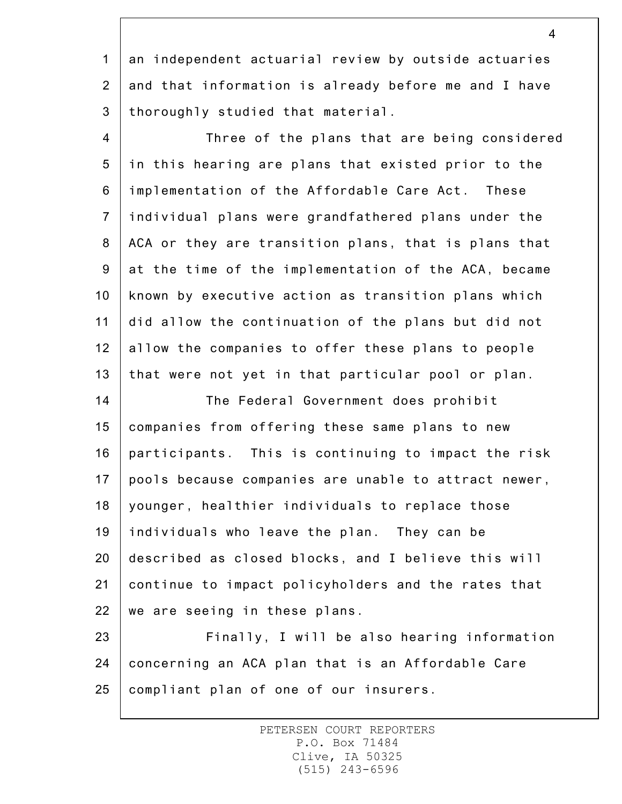1 2 3 an independent actuarial review by outside actuaries and that information is already before me and I have thoroughly studied that material.

4 5 6 7 8 9 10 11 12 13 Three of the plans that are being considered in this hearing are plans that existed prior to the implementation of the Affordable Care Act. These individual plans were grandfathered plans under the ACA or they are transition plans, that is plans that at the time of the implementation of the ACA, became known by executive action as transition plans which did allow the continuation of the plans but did not allow the companies to offer these plans to people that were not yet in that particular pool or plan.

14 15 16 17 18 19 20 21 22 The Federal Government does prohibit companies from offering these same plans to new participants. This is continuing to impact the risk pools because companies are unable to attract newer, younger, healthier individuals to replace those individuals who leave the plan. They can be described as closed blocks, and I believe this will continue to impact policyholders and the rates that we are seeing in these plans.

23 24 25 Finally, I will be also hearing information concerning an ACA plan that is an Affordable Care compliant plan of one of our insurers.

> PETERSEN COURT REPORTERS P.O. Box 71484 Clive, IA 50325 (515) 243-6596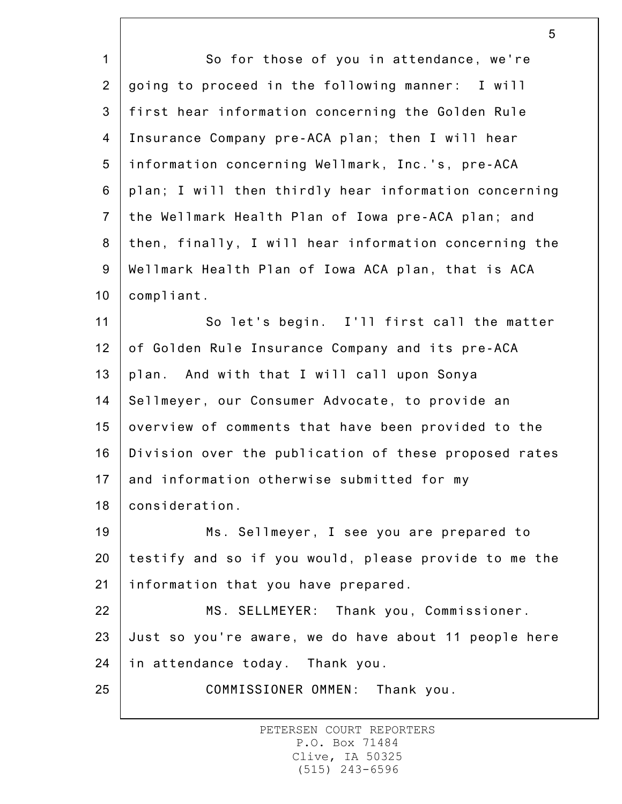1 2 3 4 5 6 7 8 9 10 11 12 13 14 15 16 17 18 19 20 21 22 23 24 25 So for those of you in attendance, we're going to proceed in the following manner: I will first hear information concerning the Golden Rule Insurance Company pre-ACA plan; then I will hear information concerning Wellmark, Inc.'s, pre-ACA plan; I will then thirdly hear information concerning the Wellmark Health Plan of Iowa pre-ACA plan; and then, finally, I will hear information concerning the Wellmark Health Plan of Iowa ACA plan, that is ACA compliant. So let's begin. I'll first call the matter of Golden Rule Insurance Company and its pre-ACA plan. And with that I will call upon Sonya Sellmeyer, our Consumer Advocate, to provide an overview of comments that have been provided to the Division over the publication of these proposed rates and information otherwise submitted for my consideration. Ms. Sellmeyer, I see you are prepared to testify and so if you would, please provide to me the information that you have prepared. MS. SELLMEYER: Thank you, Commissioner. Just so you're aware, we do have about 11 people here in attendance today. Thank you. COMMISSIONER OMMEN: Thank you.

5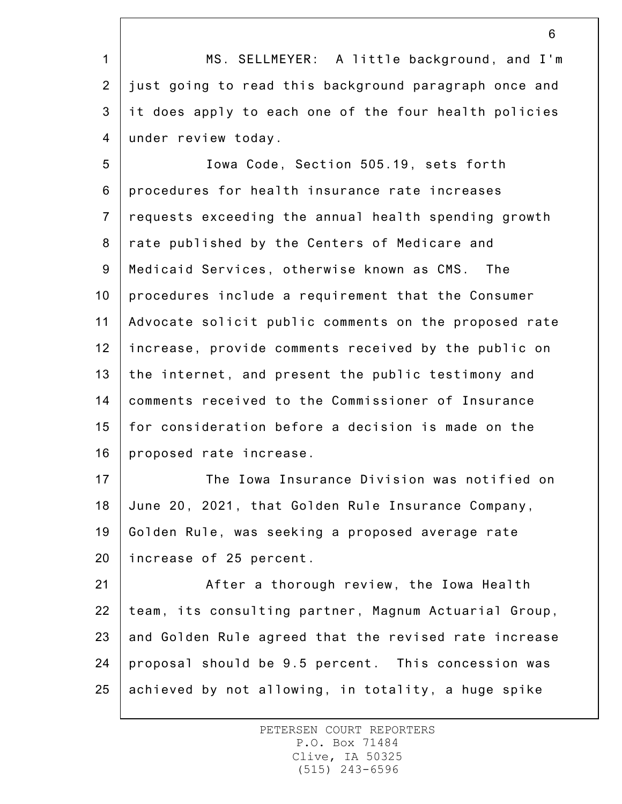1 2 3 4 MS. SELLMEYER: A little background, and I'm just going to read this background paragraph once and it does apply to each one of the four health policies under review today.

5 6 7 8 9 10 11 12 13 14 15 16 Iowa Code, Section 505.19, sets forth procedures for health insurance rate increases requests exceeding the annual health spending growth rate published by the Centers of Medicare and Medicaid Services, otherwise known as CMS. The procedures include a requirement that the Consumer Advocate solicit public comments on the proposed rate increase, provide comments received by the public on the internet, and present the public testimony and comments received to the Commissioner of Insurance for consideration before a decision is made on the proposed rate increase.

17 18 19 20 The Iowa Insurance Division was notified on June 20, 2021, that Golden Rule Insurance Company, Golden Rule, was seeking a proposed average rate increase of 25 percent.

21 22 23 24 25 After a thorough review, the Iowa Health team, its consulting partner, Magnum Actuarial Group, and Golden Rule agreed that the revised rate increase proposal should be 9.5 percent. This concession was achieved by not allowing, in totality, a huge spike

> PETERSEN COURT REPORTERS P.O. Box 71484 Clive, IA 50325 (515) 243-6596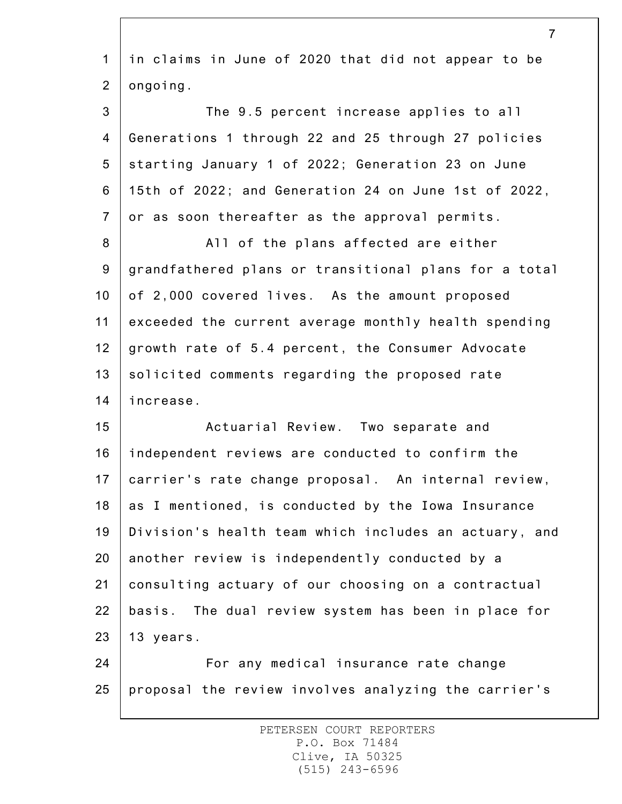|                | $\overline{7}$                                        |
|----------------|-------------------------------------------------------|
| $\mathbf 1$    | in claims in June of 2020 that did not appear to be   |
| $\overline{2}$ | ongoing.                                              |
| 3              | The 9.5 percent increase applies to all               |
| 4              | Generations 1 through 22 and 25 through 27 policies   |
| 5              | starting January 1 of 2022; Generation 23 on June     |
| 6              | 15th of 2022; and Generation 24 on June 1st of 2022,  |
| $\overline{7}$ | or as soon thereafter as the approval permits.        |
| 8              | All of the plans affected are either                  |
| 9              | grandfathered plans or transitional plans for a total |
| 10             | of 2,000 covered lives. As the amount proposed        |
| 11             | exceeded the current average monthly health spending  |
| 12             | growth rate of 5.4 percent, the Consumer Advocate     |
| 13             | solicited comments regarding the proposed rate        |
| 14             | increase.                                             |
| 15             | Actuarial Review. Two separate and                    |
| 16             | independent reviews are conducted to confirm the      |
| 17             | carrier's rate change proposal. An internal review,   |
| 18             | as I mentioned, is conducted by the Iowa Insurance    |
| 19             | Division's health team which includes an actuary, and |
| 20             | another review is independently conducted by a        |
| 21             | consulting actuary of our choosing on a contractual   |
| 22             | basis. The dual review system has been in place for   |
| 23             | 13 years.                                             |
| 24             | For any medical insurance rate change                 |
| 25             | proposal the review involves analyzing the carrier's  |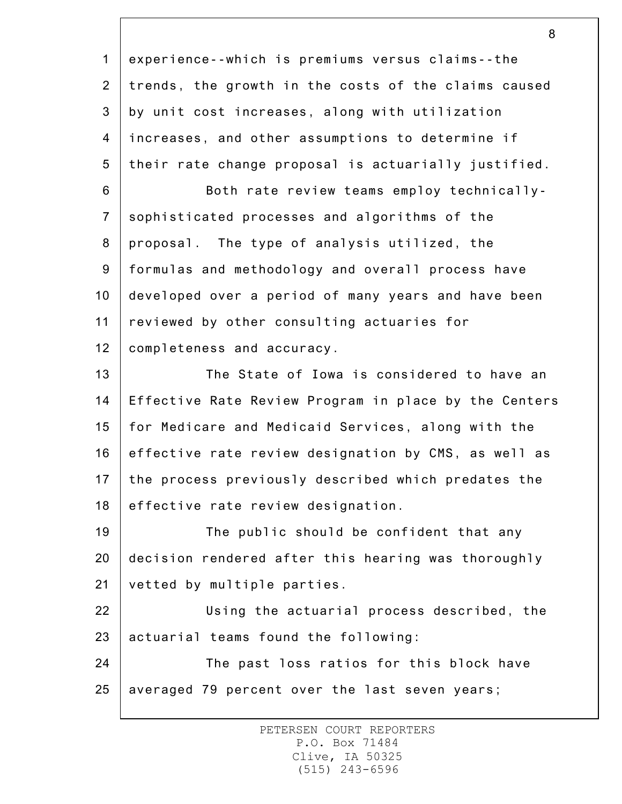1 2 3 4 5 6 7 8 9 10 11 12 13 14 15 16 17 18 19 20 21 22 23 24 25 8 experience--which is premiums versus claims--the trends, the growth in the costs of the claims caused by unit cost increases, along with utilization increases, and other assumptions to determine if their rate change proposal is actuarially justified. Both rate review teams employ technicallysophisticated processes and algorithms of the proposal. The type of analysis utilized, the formulas and methodology and overall process have developed over a period of many years and have been reviewed by other consulting actuaries for completeness and accuracy. The State of Iowa is considered to have an Effective Rate Review Program in place by the Centers for Medicare and Medicaid Services, along with the effective rate review designation by CMS, as well as the process previously described which predates the effective rate review designation. The public should be confident that any decision rendered after this hearing was thoroughly vetted by multiple parties. Using the actuarial process described, the actuarial teams found the following: The past loss ratios for this block have averaged 79 percent over the last seven years;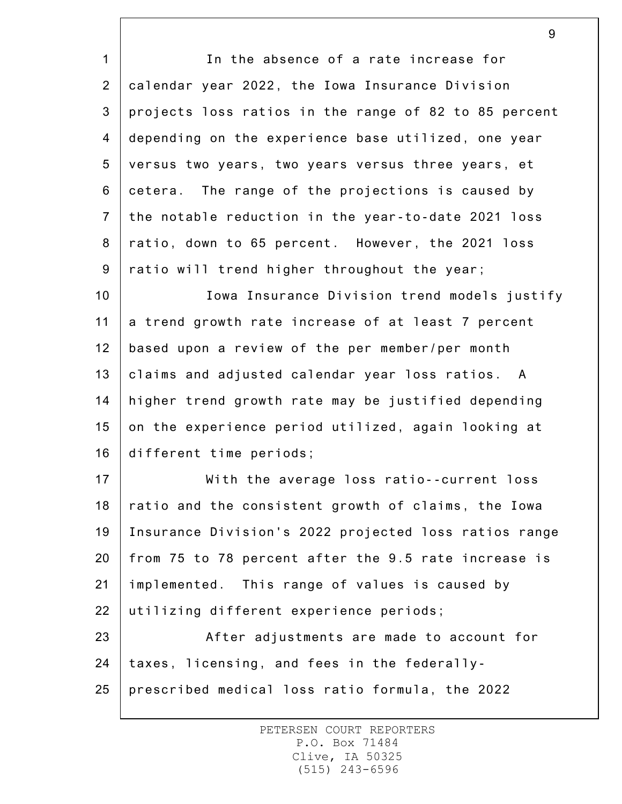1 2 3 4 5 6 7 8 9 In the absence of a rate increase for calendar year 2022, the Iowa Insurance Division projects loss ratios in the range of 82 to 85 percent depending on the experience base utilized, one year versus two years, two years versus three years, et cetera. The range of the projections is caused by the notable reduction in the year-to-date 2021 loss ratio, down to 65 percent. However, the 2021 loss ratio will trend higher throughout the year;

10 11 12 13 14 15 16 Iowa Insurance Division trend models justify a trend growth rate increase of at least 7 percent based upon a review of the per member/per month claims and adjusted calendar year loss ratios. A higher trend growth rate may be justified depending on the experience period utilized, again looking at different time periods;

17 18 19 20 21 22 With the average loss ratio--current loss ratio and the consistent growth of claims, the Iowa Insurance Division's 2022 projected loss ratios range from 75 to 78 percent after the 9.5 rate increase is implemented. This range of values is caused by utilizing different experience periods;

23 24 25 After adjustments are made to account for taxes, licensing, and fees in the federallyprescribed medical loss ratio formula, the 2022

> PETERSEN COURT REPORTERS P.O. Box 71484 Clive, IA 50325 (515) 243-6596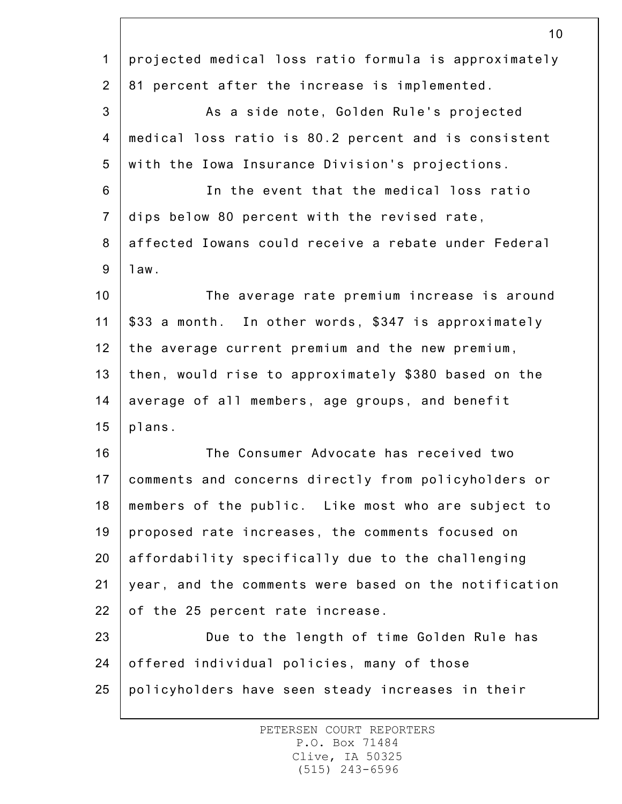|                  | ΙV                                                    |
|------------------|-------------------------------------------------------|
| $\mathbf{1}$     | projected medical loss ratio formula is approximately |
| $\overline{2}$   | 81 percent after the increase is implemented.         |
| $\mathfrak{S}$   | As a side note, Golden Rule's projected               |
| 4                | medical loss ratio is 80.2 percent and is consistent  |
| 5                | with the Iowa Insurance Division's projections.       |
| $6\,$            | In the event that the medical loss ratio              |
| $\overline{7}$   | dips below 80 percent with the revised rate,          |
| 8                | affected Iowans could receive a rebate under Federal  |
| $\boldsymbol{9}$ | 1aw.                                                  |
| 10               | The average rate premium increase is around           |
| 11               | \$33 a month. In other words, \$347 is approximately  |
| 12               | the average current premium and the new premium,      |
| 13               | then, would rise to approximately \$380 based on the  |
| 14               | average of all members, age groups, and benefit       |
| 15               | plans.                                                |
| 16               | The Consumer Advocate has received two                |
| 17               | comments and concerns directly from policyholders or  |
| 18               | members of the public. Like most who are subject to   |
| 19               | proposed rate increases, the comments focused on      |
| 20               | affordability specifically due to the challenging     |
| 21               | year, and the comments were based on the notification |
| 22               | of the 25 percent rate increase.                      |
| 23               | Due to the length of time Golden Rule has             |
| 24               | offered individual policies, many of those            |
| 25               | policyholders have seen steady increases in their     |
|                  |                                                       |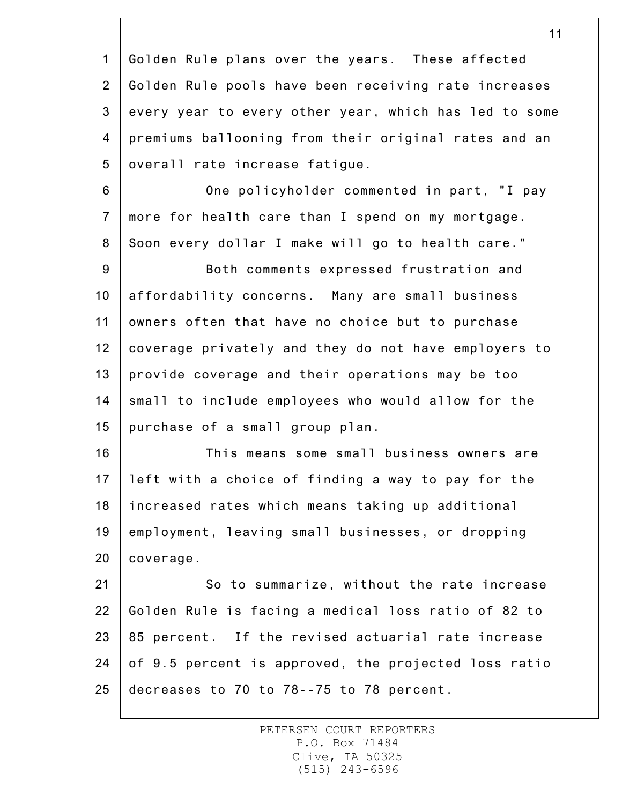1 2 3 4 5 6 7 8 9 10 11 12 13 14 15 16 17 18 19 20 21 22 23 24 Golden Rule plans over the years. These affected Golden Rule pools have been receiving rate increases every year to every other year, which has led to some premiums ballooning from their original rates and an overall rate increase fatigue. One policyholder commented in part, "I pay more for health care than I spend on my mortgage. Soon every dollar I make will go to health care." Both comments expressed frustration and affordability concerns. Many are small business owners often that have no choice but to purchase coverage privately and they do not have employers to provide coverage and their operations may be too small to include employees who would allow for the purchase of a small group plan. This means some small business owners are left with a choice of finding a way to pay for the increased rates which means taking up additional employment, leaving small businesses, or dropping coverage. So to summarize, without the rate increase Golden Rule is facing a medical loss ratio of 82 to 85 percent. If the revised actuarial rate increase of 9.5 percent is approved, the projected loss ratio

decreases to 70 to 78--75 to 78 percent.

25

PETERSEN COURT REPORTERS P.O. Box 71484 Clive, IA 50325 (515) 243-6596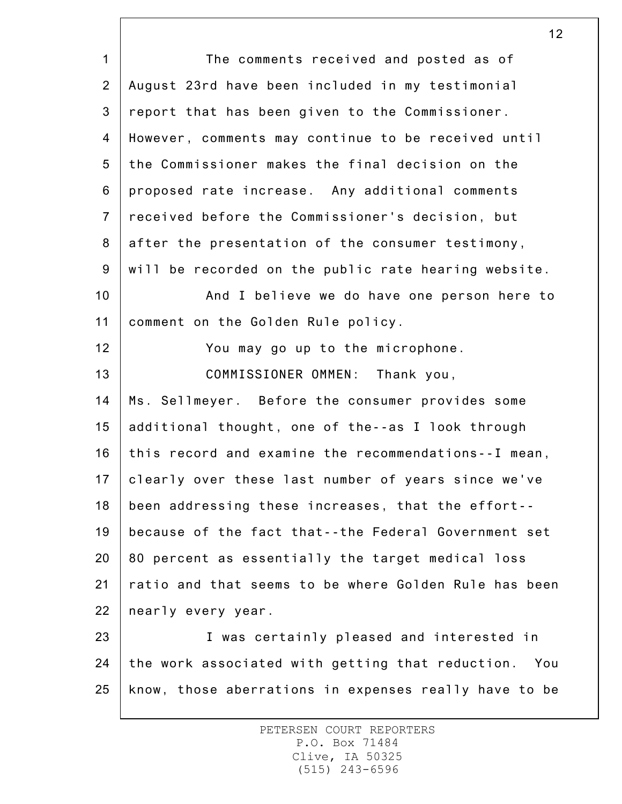1 2 3 4 5 6 7 8 9 10 11 12 13 14 15 16 17 18 19 20 21 22 23 24 25 12 The comments received and posted as of August 23rd have been included in my testimonial report that has been given to the Commissioner. However, comments may continue to be received until the Commissioner makes the final decision on the proposed rate increase. Any additional comments received before the Commissioner's decision, but after the presentation of the consumer testimony, will be recorded on the public rate hearing website. And I believe we do have one person here to comment on the Golden Rule policy. You may go up to the microphone. COMMISSIONER OMMEN: Thank you, Ms. Sellmeyer. Before the consumer provides some additional thought, one of the--as I look through this record and examine the recommendations--I mean, clearly over these last number of years since we've been addressing these increases, that the effort- because of the fact that--the Federal Government set 80 percent as essentially the target medical loss ratio and that seems to be where Golden Rule has been nearly every year. I was certainly pleased and interested in the work associated with getting that reduction. You know, those aberrations in expenses really have to be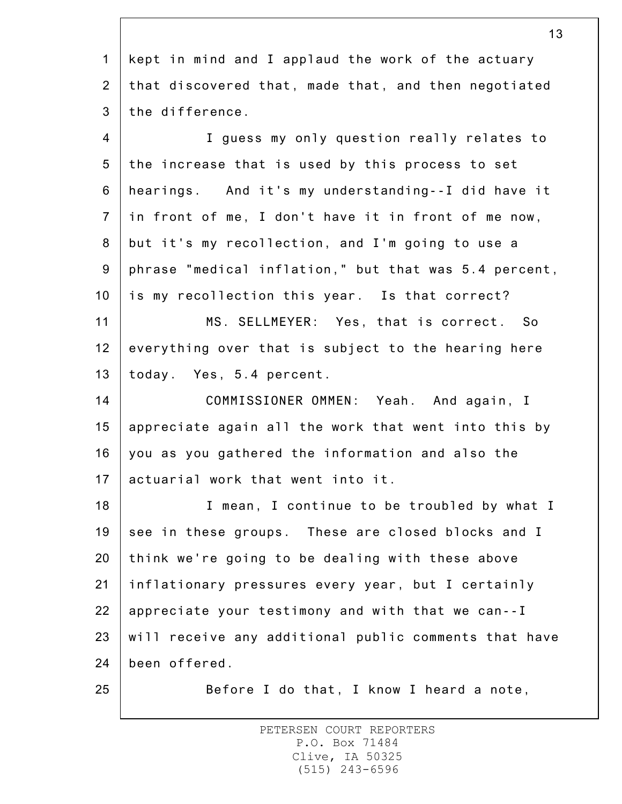1 2 3 kept in mind and I applaud the work of the actuary that discovered that, made that, and then negotiated the difference.

4 5 6 7 8 9 10 11 12 13 14 15 16 17 18 19 20 21 22 23 I guess my only question really relates to the increase that is used by this process to set hearings. And it's my understanding--I did have it in front of me, I don't have it in front of me now, but it's my recollection, and I'm going to use a phrase "medical inflation," but that was 5.4 percent, is my recollection this year. Is that correct? MS. SELLMEYER: Yes, that is correct. So everything over that is subject to the hearing here today. Yes, 5.4 percent. COMMISSIONER OMMEN: Yeah. And again, I appreciate again all the work that went into this by you as you gathered the information and also the actuarial work that went into it. I mean, I continue to be troubled by what I see in these groups. These are closed blocks and I think we're going to be dealing with these above inflationary pressures every year, but I certainly appreciate your testimony and with that we can--I will receive any additional public comments that have

24 been offered.

25

Before I do that, I know I heard a note,

PETERSEN COURT REPORTERS P.O. Box 71484 Clive, IA 50325 (515) 243-6596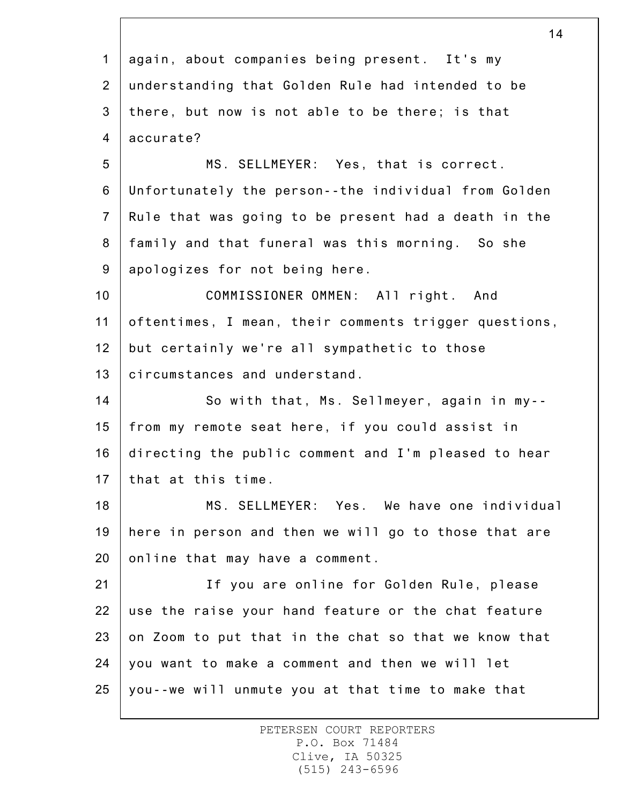1 2 3 4 5 6 7 8 9 10 11 12 13 14 15 16 17 18 19 20 21 22 23 24 25 14 again, about companies being present. It's my understanding that Golden Rule had intended to be there, but now is not able to be there; is that accurate? MS. SELLMEYER: Yes, that is correct. Unfortunately the person--the individual from Golden Rule that was going to be present had a death in the family and that funeral was this morning. So she apologizes for not being here. COMMISSIONER OMMEN: All right. And oftentimes, I mean, their comments trigger questions, but certainly we're all sympathetic to those circumstances and understand. So with that, Ms. Sellmeyer, again in my- from my remote seat here, if you could assist in directing the public comment and I'm pleased to hear that at this time. MS. SELLMEYER: Yes. We have one individual here in person and then we will go to those that are online that may have a comment. If you are online for Golden Rule, please use the raise your hand feature or the chat feature on Zoom to put that in the chat so that we know that you want to make a comment and then we will let you--we will unmute you at that time to make that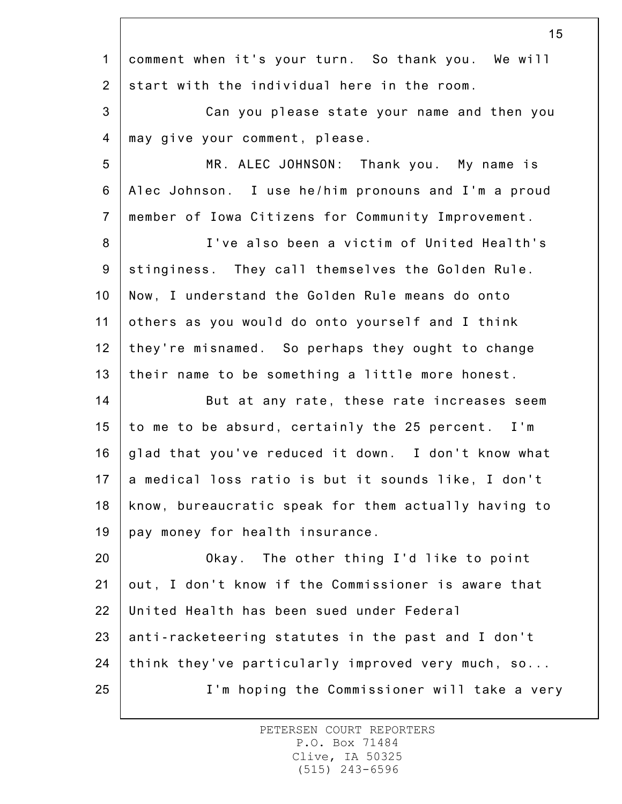|                | 15                                                   |
|----------------|------------------------------------------------------|
| $\mathbf{1}$   | comment when it's your turn. So thank you. We will   |
| $\overline{2}$ | start with the individual here in the room.          |
| $\mathbf{3}$   | Can you please state your name and then you          |
| 4              | may give your comment, please.                       |
| 5              | MR. ALEC JOHNSON: Thank you. My name is              |
| $6\phantom{a}$ | Alec Johnson. I use he/him pronouns and I'm a proud  |
| $\overline{7}$ | member of Iowa Citizens for Community Improvement.   |
| 8              | I've also been a victim of United Health's           |
| 9              | stinginess. They call themselves the Golden Rule.    |
| 10             | Now, I understand the Golden Rule means do onto      |
| 11             | others as you would do onto yourself and I think     |
| 12             | they're misnamed. So perhaps they ought to change    |
| 13             | their name to be something a little more honest.     |
| 14             | But at any rate, these rate increases seem           |
| 15             | to me to be absurd, certainly the 25 percent. I'm    |
| 16             | glad that you've reduced it down. I don't know what  |
| 17             | a medical loss ratio is but it sounds like, I don't  |
| 18             | know, bureaucratic speak for them actually having to |
| 19             | pay money for health insurance.                      |
| 20             | Okay. The other thing I'd like to point              |
| 21             | out, I don't know if the Commissioner is aware that  |
| 22             | United Health has been sued under Federal            |
| 23             | anti-racketeering statutes in the past and I don't   |
| 24             | think they've particularly improved very much, so    |
| 25             | I'm hoping the Commissioner will take a very         |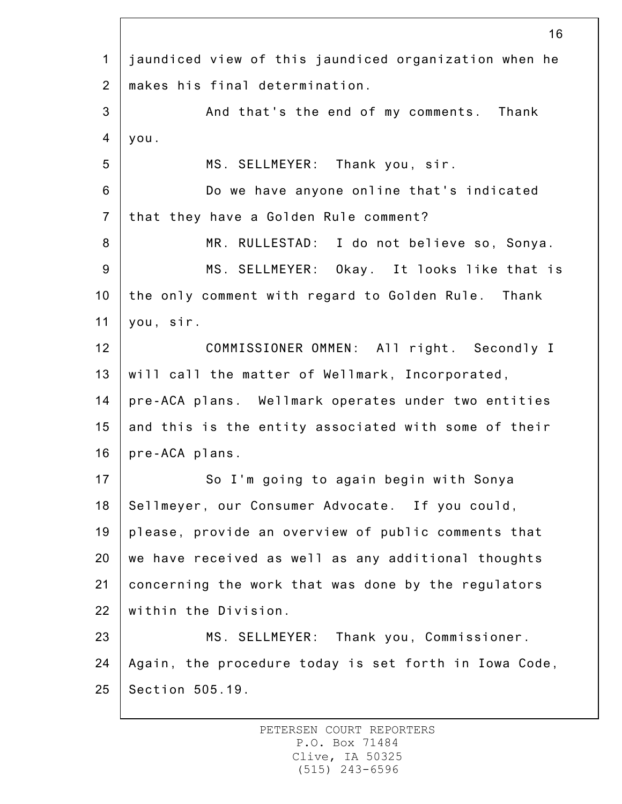|                | 16                                                    |
|----------------|-------------------------------------------------------|
| $\mathbf{1}$   | jaundiced view of this jaundiced organization when he |
| $\overline{2}$ | makes his final determination.                        |
| 3              | And that's the end of my comments. Thank              |
| 4              | you.                                                  |
| 5              | MS. SELLMEYER: Thank you, sir.                        |
| 6              | Do we have anyone online that's indicated             |
| $\overline{7}$ | that they have a Golden Rule comment?                 |
| 8              | MR. RULLESTAD: I do not believe so, Sonya.            |
| 9              | MS. SELLMEYER: Okay. It looks like that is            |
| 10             | the only comment with regard to Golden Rule. Thank    |
| 11             | you, sir.                                             |
| 12             | COMMISSIONER OMMEN: All right. Secondly I             |
| 13             | will call the matter of Wellmark, Incorporated,       |
| 14             | pre-ACA plans. Wellmark operates under two entities   |
| 15             | and this is the entity associated with some of their  |
| 16             | pre-ACA plans.                                        |
| 17             | So I'm going to again begin with Sonya                |
| 18             | Sellmeyer, our Consumer Advocate. If you could,       |
| 19             | please, provide an overview of public comments that   |
| 20             | we have received as well as any additional thoughts   |
| 21             | concerning the work that was done by the regulators   |
| 22             | within the Division.                                  |
| 23             | MS. SELLMEYER: Thank you, Commissioner.               |
| 24             | Again, the procedure today is set forth in Iowa Code, |
| 25             | Section 505.19.                                       |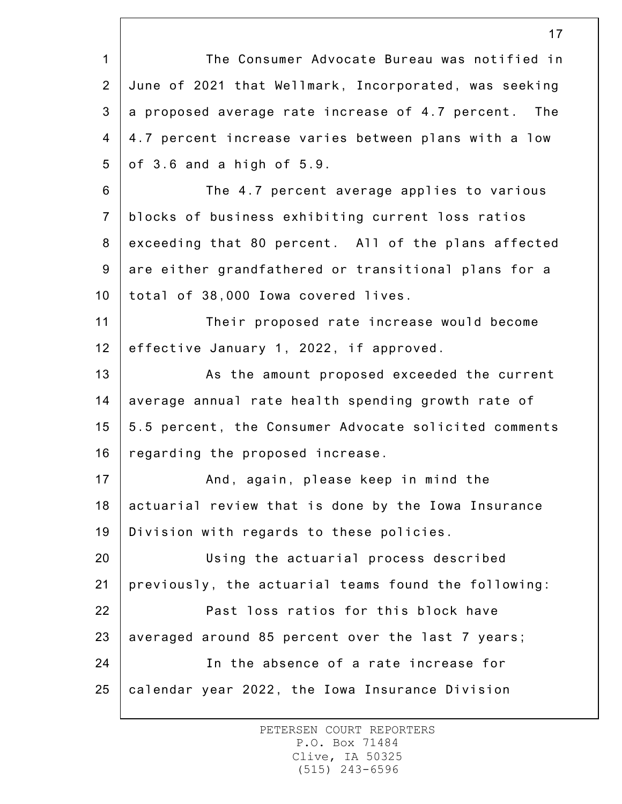1 2 3 4 5 6 7 8 9 10 11 12 13 14 15 16 17 18 19 20 21 22 23 24 25 17 The Consumer Advocate Bureau was notified in June of 2021 that Wellmark, Incorporated, was seeking a proposed average rate increase of 4.7 percent. The 4.7 percent increase varies between plans with a low of 3.6 and a high of 5.9. The 4.7 percent average applies to various blocks of business exhibiting current loss ratios exceeding that 80 percent. All of the plans affected are either grandfathered or transitional plans for a total of 38,000 Iowa covered lives. Their proposed rate increase would become effective January 1, 2022, if approved. As the amount proposed exceeded the current average annual rate health spending growth rate of 5.5 percent, the Consumer Advocate solicited comments regarding the proposed increase. And, again, please keep in mind the actuarial review that is done by the Iowa Insurance Division with regards to these policies. Using the actuarial process described previously, the actuarial teams found the following: Past loss ratios for this block have averaged around 85 percent over the last 7 years; In the absence of a rate increase for calendar year 2022, the Iowa Insurance Division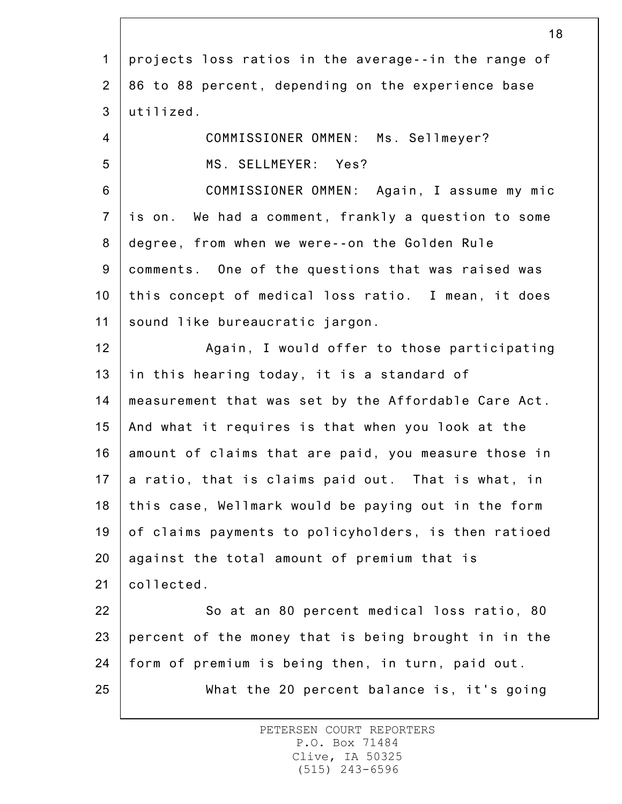|                | 18                                                   |
|----------------|------------------------------------------------------|
| $\mathbf{1}$   | projects loss ratios in the average--in the range of |
| $\overline{2}$ | 86 to 88 percent, depending on the experience base   |
| 3              | utilized.                                            |
| $\overline{4}$ | COMMISSIONER OMMEN: Ms. Sellmeyer?                   |
| 5              | MS. SELLMEYER: Yes?                                  |
| $6\phantom{1}$ | COMMISSIONER OMMEN: Again, I assume my mic           |
| $\overline{7}$ | is on. We had a comment, frankly a question to some  |
| 8              | degree, from when we were--on the Golden Rule        |
| 9              | comments. One of the questions that was raised was   |
| 10             | this concept of medical loss ratio. I mean, it does  |
| 11             | sound like bureaucratic jargon.                      |
| 12             | Again, I would offer to those participating          |
| 13             | in this hearing today, it is a standard of           |
| 14             | measurement that was set by the Affordable Care Act. |
| 15             | And what it requires is that when you look at the    |
| 16             | amount of claims that are paid, you measure those in |
| 17             | a ratio, that is claims paid out. That is what, in   |
| 18             | this case, Wellmark would be paying out in the form  |
| 19             | of claims payments to policyholders, is then ratioed |
| 20             | against the total amount of premium that is          |
| 21             | collected.                                           |
| 22             | So at an 80 percent medical loss ratio, 80           |
| 23             | percent of the money that is being brought in in the |
| 24             | form of premium is being then, in turn, paid out.    |
| 25             | What the 20 percent balance is, it's going           |
|                |                                                      |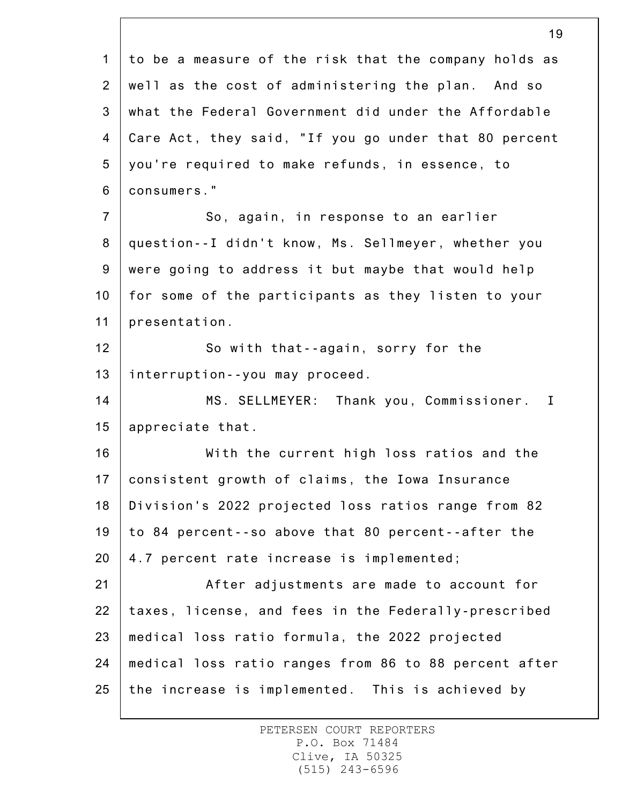|                 | 19                                                    |
|-----------------|-------------------------------------------------------|
| $\mathbf 1$     | to be a measure of the risk that the company holds as |
| $\overline{2}$  | well as the cost of administering the plan. And so    |
| 3               | what the Federal Government did under the Affordable  |
| 4               | Care Act, they said, "If you go under that 80 percent |
| 5               | you're required to make refunds, in essence, to       |
| 6               | consumers."                                           |
| $\overline{7}$  | So, again, in response to an earlier                  |
| 8               | question--I didn't know, Ms. Sellmeyer, whether you   |
| 9               | were going to address it but maybe that would help    |
| 10 <sub>1</sub> | for some of the participants as they listen to your   |
| 11              | presentation.                                         |
| 12              | So with that--again, sorry for the                    |
| 13              | interruption--you may proceed.                        |
| 14              | MS. SELLMEYER: Thank you, Commissioner. I             |
| 15              | appreciate that.                                      |
| 16              | With the current high loss ratios and the             |
| 17              | consistent growth of claims, the Iowa Insurance       |
| 18              | Division's 2022 projected loss ratios range from 82   |
| 19              | to 84 percent--so above that 80 percent--after the    |
| 20              | 4.7 percent rate increase is implemented;             |
| 21              | After adjustments are made to account for             |
| 22              | taxes, license, and fees in the Federally-prescribed  |
| 23              | medical loss ratio formula, the 2022 projected        |
| 24              | medical loss ratio ranges from 86 to 88 percent after |
| 25              | the increase is implemented. This is achieved by      |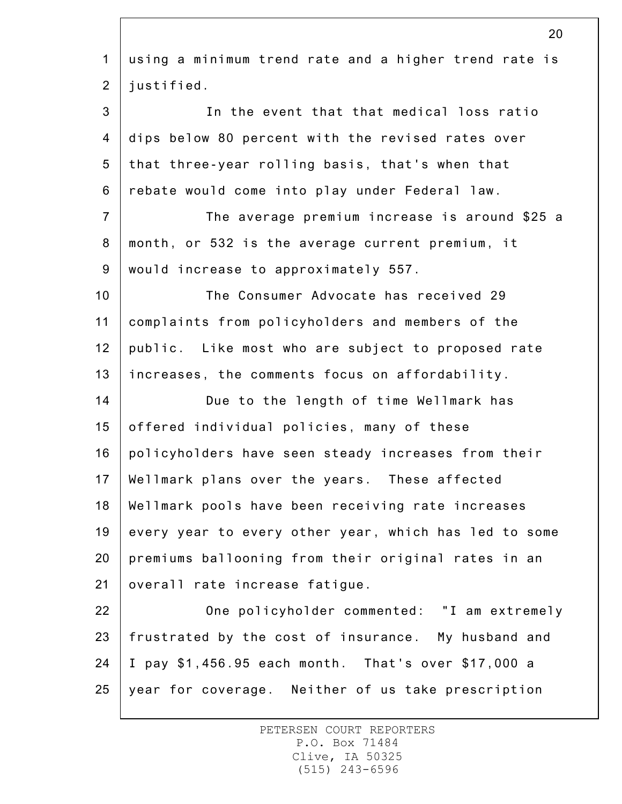| $\mathbf{1}$   | using a minimum trend rate and a higher trend rate is |
|----------------|-------------------------------------------------------|
| $\overline{2}$ | justified.                                            |
| 3              | In the event that that medical loss ratio             |
| 4              | dips below 80 percent with the revised rates over     |
| 5              | that three-year rolling basis, that's when that       |
| 6              | rebate would come into play under Federal law.        |
| $\overline{7}$ | The average premium increase is around \$25 a         |
| 8              | month, or 532 is the average current premium, it      |
| $9\,$          | would increase to approximately 557.                  |
| 10             | The Consumer Advocate has received 29                 |
| 11             | complaints from policyholders and members of the      |
| 12             | public. Like most who are subject to proposed rate    |
| 13             | increases, the comments focus on affordability.       |
| 14             | Due to the length of time Wellmark has                |
| 15             | offered individual policies, many of these            |
| 16             | policyholders have seen steady increases from their   |
| 17             | Wellmark plans over the years. These affected         |
| 18             | Wellmark pools have been receiving rate increases     |
| 19             | every year to every other year, which has led to some |
| 20             | premiums ballooning from their original rates in an   |
| 21             | overall rate increase fatique.                        |
| 22             | One policyholder commented: "I am extremely           |
| 23             | frustrated by the cost of insurance. My husband and   |
| 24             | I pay \$1,456.95 each month. That's over \$17,000 a   |
| 25             | year for coverage. Neither of us take prescription    |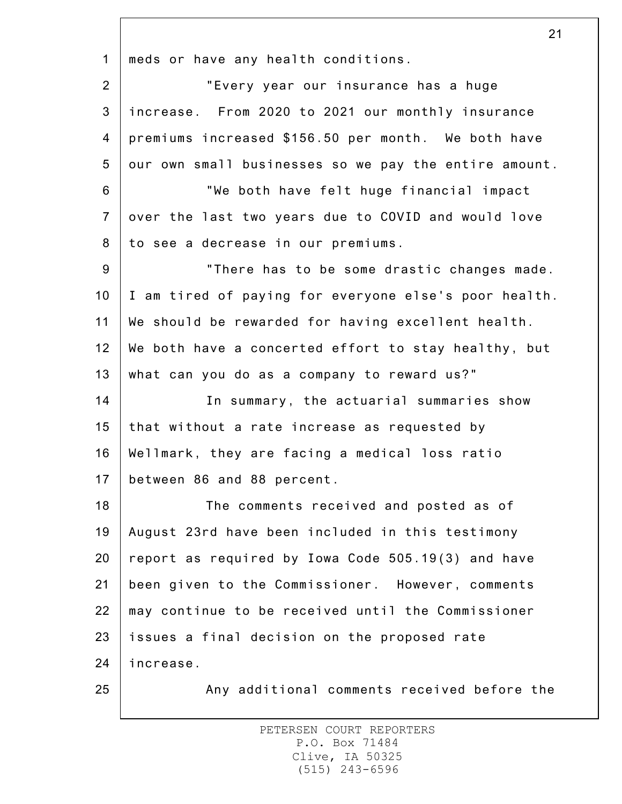1 meds or have any health conditions.

| $\overline{2}$ | "Every year our insurance has a huge                  |
|----------------|-------------------------------------------------------|
| $\mathfrak{S}$ | increase. From 2020 to 2021 our monthly insurance     |
| 4              | premiums increased \$156.50 per month. We both have   |
| 5              | our own small businesses so we pay the entire amount. |
| $6\phantom{1}$ | "We both have felt huge financial impact              |
| $\overline{7}$ | over the last two years due to COVID and would love   |
| 8              | to see a decrease in our premiums.                    |
| 9              | "There has to be some drastic changes made.           |
| 10             | I am tired of paying for everyone else's poor health. |
| 11             | We should be rewarded for having excellent health.    |
| 12             | We both have a concerted effort to stay healthy, but  |
| 13             | what can you do as a company to reward us?"           |
| 14             | In summary, the actuarial summaries show              |
| 15             | that without a rate increase as requested by          |
| 16             | Wellmark, they are facing a medical loss ratio        |
| 17             | between 86 and 88 percent.                            |
| 18             | The comments received and posted as of                |
| 19             | August 23rd have been included in this testimony      |
| 20             | report as required by Iowa Code 505.19(3) and have    |
| 21             | been given to the Commissioner. However, comments     |
| 22             | may continue to be received until the Commissioner    |
| 23             | issues a final decision on the proposed rate          |
| 24             | increase.                                             |
| 25             | Any additional comments received before the           |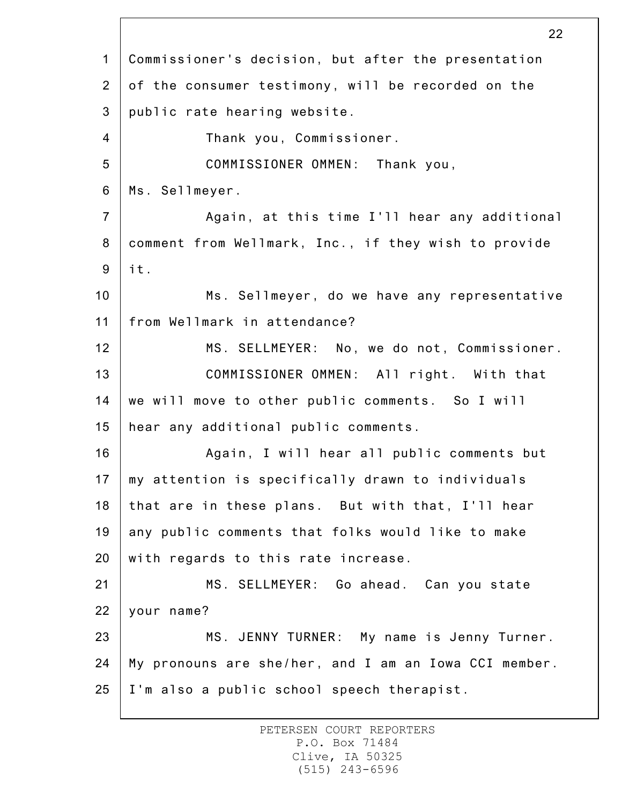1 2 3 4 5 6 7 8 9 10 11 12 13 14 15 16 17 18 19 20 21 22 23 24 25 22 Commissioner's decision, but after the presentation of the consumer testimony, will be recorded on the public rate hearing website. Thank you, Commissioner. COMMISSIONER OMMEN: Thank you, Ms. Sellmeyer. Again, at this time I'll hear any additional comment from Wellmark, Inc., if they wish to provide it. Ms. Sellmeyer, do we have any representative from Wellmark in attendance? MS. SELLMEYER: No, we do not, Commissioner. COMMISSIONER OMMEN: All right. With that we will move to other public comments. So I will hear any additional public comments. Again, I will hear all public comments but my attention is specifically drawn to individuals that are in these plans. But with that, I'll hear any public comments that folks would like to make with regards to this rate increase. MS. SELLMEYER: Go ahead. Can you state your name? MS. JENNY TURNER: My name is Jenny Turner. My pronouns are she/her, and I am an Iowa CCI member. I'm also a public school speech therapist.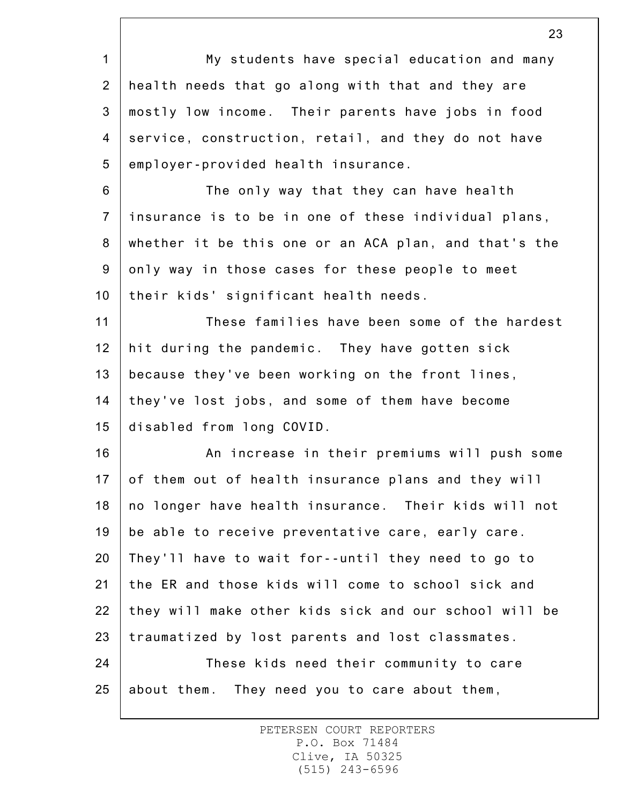1 2 3 4 5 6 7 8 9 10 11 12 13 14 15 16 17 18 19 20 21 22 23 24 25 My students have special education and many health needs that go along with that and they are mostly low income. Their parents have jobs in food service, construction, retail, and they do not have employer-provided health insurance. The only way that they can have health insurance is to be in one of these individual plans, whether it be this one or an ACA plan, and that's the only way in those cases for these people to meet their kids' significant health needs. These families have been some of the hardest hit during the pandemic. They have gotten sick because they've been working on the front lines, they've lost jobs, and some of them have become disabled from long COVID. An increase in their premiums will push some of them out of health insurance plans and they will no longer have health insurance. Their kids will not be able to receive preventative care, early care. They'll have to wait for--until they need to go to the ER and those kids will come to school sick and they will make other kids sick and our school will be traumatized by lost parents and lost classmates. These kids need their community to care about them. They need you to care about them,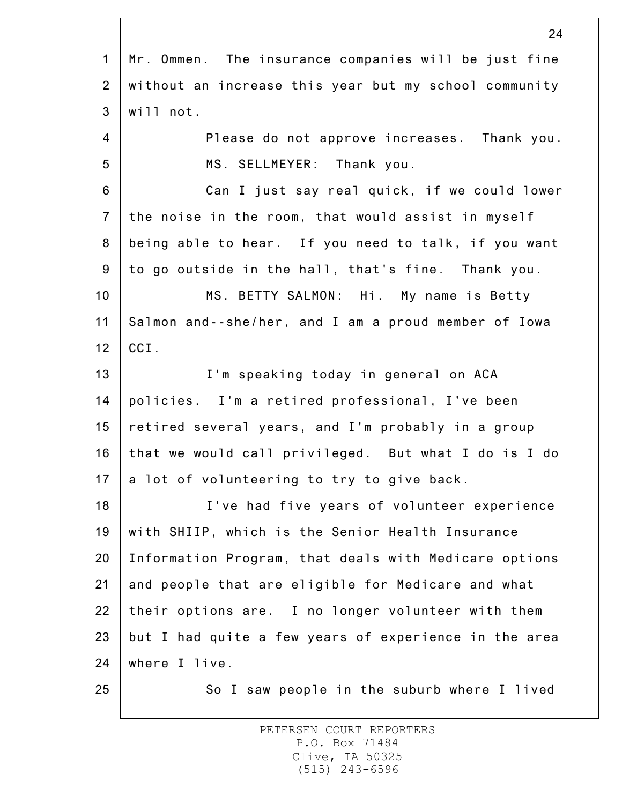|                | Z4                                                    |
|----------------|-------------------------------------------------------|
| $\mathbf{1}$   | Mr. Ommen. The insurance companies will be just fine  |
| $\overline{2}$ | without an increase this year but my school community |
| $\mathbf{3}$   | will not.                                             |
| $\overline{4}$ | Please do not approve increases. Thank you.           |
| 5              | MS. SELLMEYER: Thank you.                             |
| 6              | Can I just say real quick, if we could lower          |
| $\overline{7}$ | the noise in the room, that would assist in myself    |
| $\bf 8$        | being able to hear. If you need to talk, if you want  |
| $9\,$          | to go outside in the hall, that's fine. Thank you.    |
| 10             | MS. BETTY SALMON: Hi. My name is Betty                |
| 11             | Salmon and--she/her, and I am a proud member of Iowa  |
| 12             | CCI.                                                  |
| 13             | I'm speaking today in general on ACA                  |
| 14             | policies. I'm a retired professional, I've been       |
| 15             | retired several years, and I'm probably in a group    |
| 16             | that we would call privileged. But what I do is I do  |
| 17             | a lot of volunteering to try to give back.            |
| 18             | I've had five years of volunteer experience           |
| 19             | with SHIIP, which is the Senior Health Insurance      |
| 20             | Information Program, that deals with Medicare options |
| 21             | and people that are eligible for Medicare and what    |
| 22             | their options are. I no longer volunteer with them    |
| 23             | but I had quite a few years of experience in the area |
| 24             | where I live.                                         |
| 25             | So I saw people in the suburb where I lived           |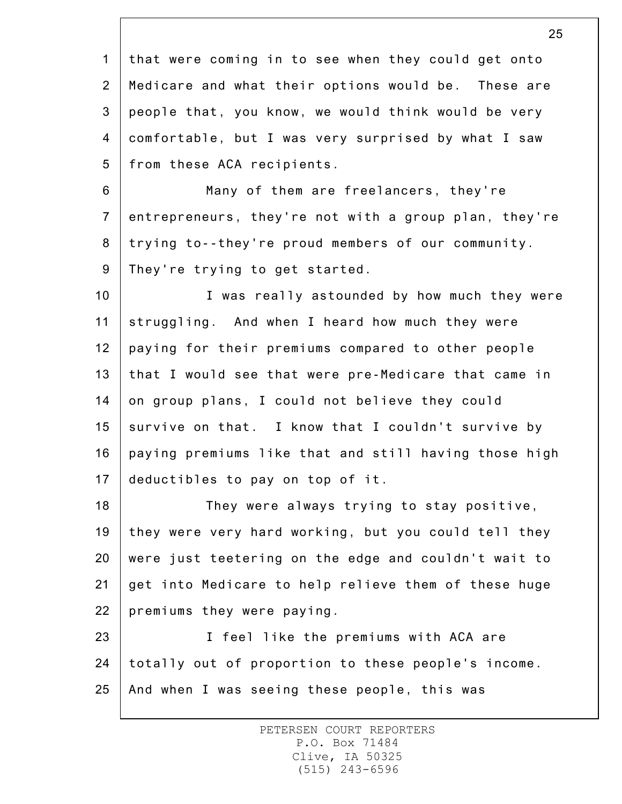1 2 3 4 5 that were coming in to see when they could get onto Medicare and what their options would be. These are people that, you know, we would think would be very comfortable, but I was very surprised by what I saw from these ACA recipients.

6 7 8 9 Many of them are freelancers, they're entrepreneurs, they're not with a group plan, they're trying to--they're proud members of our community. They're trying to get started.

10 11 12 13 14 15 16 17 I was really astounded by how much they were struggling. And when I heard how much they were paying for their premiums compared to other people that I would see that were pre-Medicare that came in on group plans, I could not believe they could survive on that. I know that I couldn't survive by paying premiums like that and still having those high deductibles to pay on top of it.

18 19 20 21 22 They were always trying to stay positive, they were very hard working, but you could tell they were just teetering on the edge and couldn't wait to get into Medicare to help relieve them of these huge premiums they were paying.

23 24 25 I feel like the premiums with ACA are totally out of proportion to these people's income. And when I was seeing these people, this was

> PETERSEN COURT REPORTERS P.O. Box 71484 Clive, IA 50325 (515) 243-6596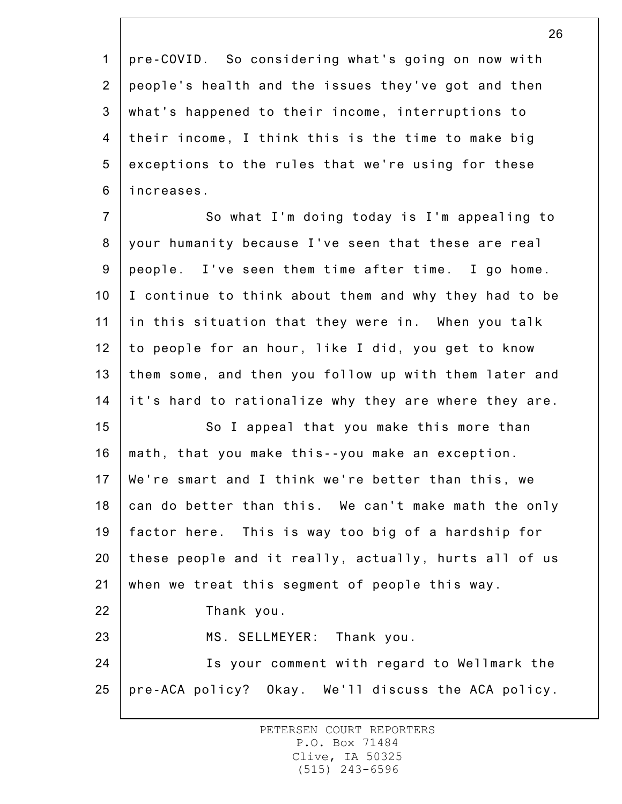1 2 3 4 5 6 pre-COVID. So considering what's going on now with people's health and the issues they've got and then what's happened to their income, interruptions to their income, I think this is the time to make big exceptions to the rules that we're using for these increases.

7 8 9 10 11 12 13 14 So what I'm doing today is I'm appealing to your humanity because I've seen that these are real people. I've seen them time after time. I go home. I continue to think about them and why they had to be in this situation that they were in. When you talk to people for an hour, like I did, you get to know them some, and then you follow up with them later and it's hard to rationalize why they are where they are.

15 16 17 18 19 20 21 22 23 24 So I appeal that you make this more than math, that you make this--you make an exception. We're smart and I think we're better than this, we can do better than this. We can't make math the only factor here. This is way too big of a hardship for these people and it really, actually, hurts all of us when we treat this segment of people this way. Thank you. MS. SELLMEYER: Thank you. Is your comment with regard to Wellmark the

25 pre-ACA policy? Okay. We'll discuss the ACA policy.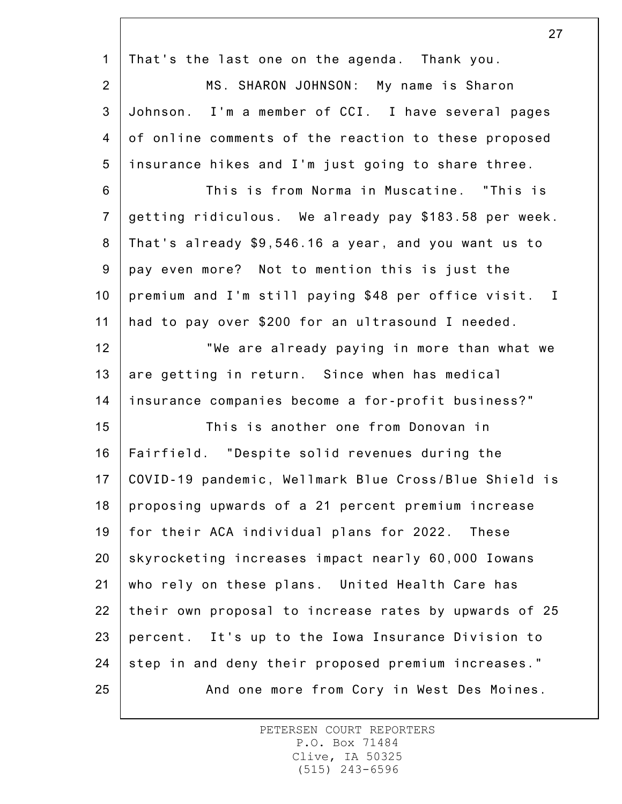|                | $\mathcal{L}$ $\mathcal{L}$                           |
|----------------|-------------------------------------------------------|
| $\mathbf 1$    | That's the last one on the agenda. Thank you.         |
| $\overline{2}$ | MS. SHARON JOHNSON: My name is Sharon                 |
| $\mathfrak{S}$ | Johnson. I'm a member of CCI. I have several pages    |
| $\overline{4}$ | of online comments of the reaction to these proposed  |
| 5              | insurance hikes and I'm just going to share three.    |
| 6              | This is from Norma in Muscatine. "This is             |
| $\overline{7}$ | getting ridiculous. We already pay \$183.58 per week. |
| 8              | That's already \$9,546.16 a year, and you want us to  |
| $9\,$          | pay even more? Not to mention this is just the        |
| 10             | premium and I'm still paying \$48 per office visit. I |
| 11             | had to pay over \$200 for an ultrasound I needed.     |
| 12             | "We are already paying in more than what we           |
| 13             | are getting in return. Since when has medical         |
| 14             | insurance companies become a for-profit business?"    |
| 15             | This is another one from Donovan in                   |
| 16             | Fairfield. "Despite solid revenues during the         |
| 17             | COVID-19 pandemic, Wellmark Blue Cross/Blue Shield is |
| 18             | proposing upwards of a 21 percent premium increase    |
| 19             | for their ACA individual plans for 2022. These        |
| 20             | skyrocketing increases impact nearly 60,000 Iowans    |
| 21             | who rely on these plans. United Health Care has       |
| 22             | their own proposal to increase rates by upwards of 25 |
| 23             | percent. It's up to the Iowa Insurance Division to    |
| 24             | step in and deny their proposed premium increases."   |
| 25             | And one more from Cory in West Des Moines.            |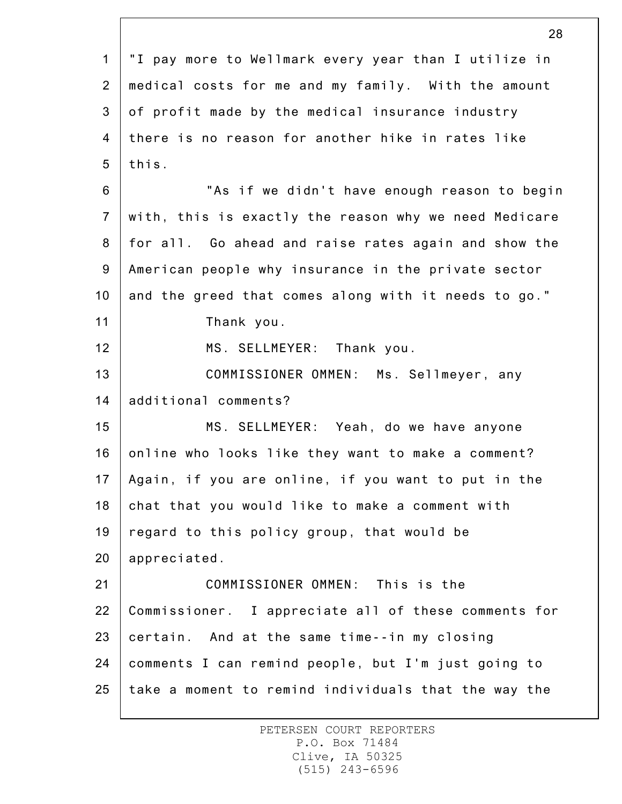1 2 3 4 5 6 7 8 9 10 11 12 13 14 15 16 17 18 19 20 21 22 23 24 25 28 "I pay more to Wellmark every year than I utilize in medical costs for me and my family. With the amount of profit made by the medical insurance industry there is no reason for another hike in rates like this. "As if we didn't have enough reason to begin with, this is exactly the reason why we need Medicare for all. Go ahead and raise rates again and show the American people why insurance in the private sector and the greed that comes along with it needs to go." Thank you. MS. SELLMEYER: Thank you. COMMISSIONER OMMEN: Ms. Sellmeyer, any additional comments? MS. SELLMEYER: Yeah, do we have anyone online who looks like they want to make a comment? Again, if you are online, if you want to put in the chat that you would like to make a comment with regard to this policy group, that would be appreciated. COMMISSIONER OMMEN: This is the Commissioner. I appreciate all of these comments for certain. And at the same time--in my closing comments I can remind people, but I'm just going to take a moment to remind individuals that the way the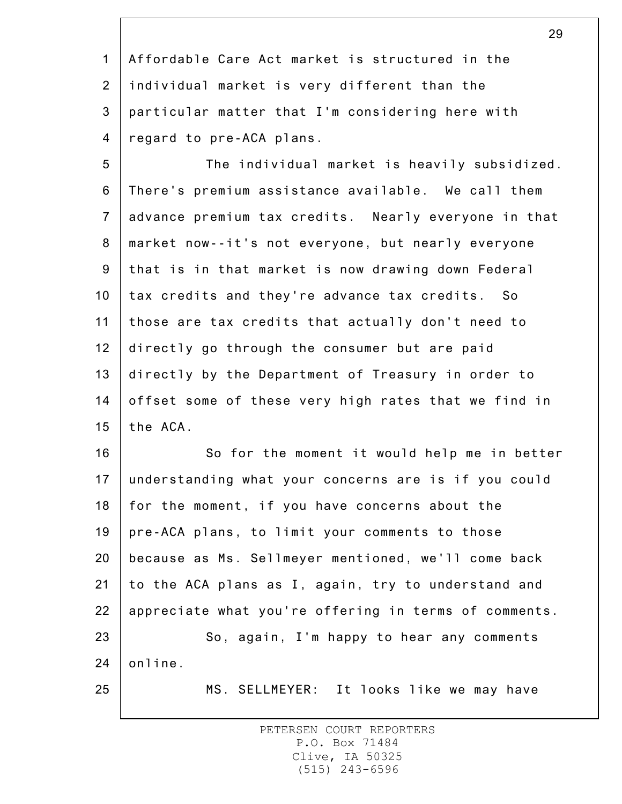1 2 3 4 Affordable Care Act market is structured in the individual market is very different than the particular matter that I'm considering here with regard to pre-ACA plans.

5 6 7 8 9 10 11 12 13 14 15 The individual market is heavily subsidized. There's premium assistance available. We call them advance premium tax credits. Nearly everyone in that market now--it's not everyone, but nearly everyone that is in that market is now drawing down Federal tax credits and they're advance tax credits. So those are tax credits that actually don't need to directly go through the consumer but are paid directly by the Department of Treasury in order to offset some of these very high rates that we find in the ACA.

16 17 18 19 20 21 22 23 24 So for the moment it would help me in better understanding what your concerns are is if you could for the moment, if you have concerns about the pre-ACA plans, to limit your comments to those because as Ms. Sellmeyer mentioned, we'll come back to the ACA plans as I, again, try to understand and appreciate what you're offering in terms of comments. So, again, I'm happy to hear any comments online.

25

MS. SELLMEYER: It looks like we may have

PETERSEN COURT REPORTERS P.O. Box 71484 Clive, IA 50325 (515) 243-6596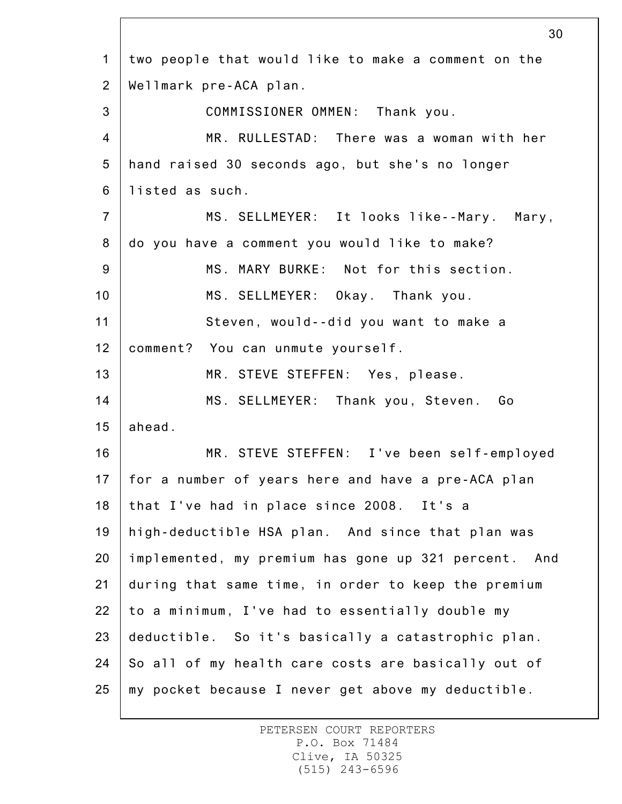|                | 30                                                   |
|----------------|------------------------------------------------------|
| $\mathbf 1$    | two people that would like to make a comment on the  |
| 2              | Wellmark pre-ACA plan.                               |
| 3              | COMMISSIONER OMMEN: Thank you.                       |
| $\overline{4}$ | MR. RULLESTAD: There was a woman with her            |
| 5              | hand raised 30 seconds ago, but she's no longer      |
| 6              | listed as such.                                      |
| $\overline{7}$ | MS. SELLMEYER: It looks like--Mary. Mary,            |
| 8              | do you have a comment you would like to make?        |
| $9\,$          | MS. MARY BURKE: Not for this section.                |
| 10             | MS. SELLMEYER: Okay. Thank you.                      |
| 11             | Steven, would--did you want to make a                |
| 12             | comment? You can unmute yourself.                    |
| 13             | MR. STEVE STEFFEN: Yes, please.                      |
| 14             | MS. SELLMEYER: Thank you, Steven. Go                 |
| 15             | ahead.                                               |
| 16             | MR. STEVE STEFFEN: I've been self-employed           |
| 17             | for a number of years here and have a pre-ACA plan   |
| 18             | that I've had in place since 2008. It's a            |
| 19             | high-deductible HSA plan. And since that plan was    |
| 20             | implemented, my premium has gone up 321 percent. And |
| 21             | during that same time, in order to keep the premium  |
| 22             | to a minimum, I've had to essentially double my      |
| 23             | deductible. So it's basically a catastrophic plan.   |
| 24             | So all of my health care costs are basically out of  |
| 25             | my pocket because I never get above my deductible.   |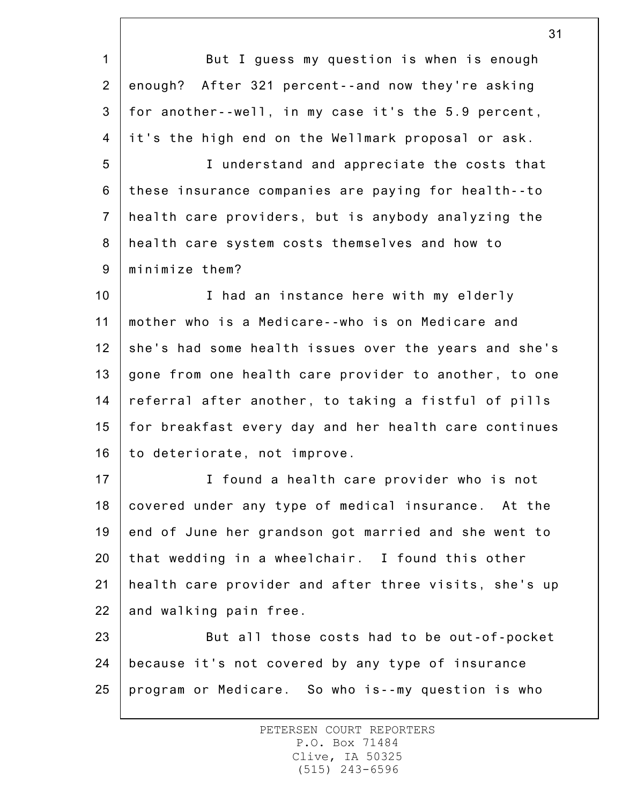1 2 3 4 5 6 7 8 9 10 11 12 13 14 15 16 17 18 19 20 21 22 23 24 25 But I guess my question is when is enough enough? After 321 percent--and now they're asking for another--well, in my case it's the 5.9 percent, it's the high end on the Wellmark proposal or ask. I understand and appreciate the costs that these insurance companies are paying for health--to health care providers, but is anybody analyzing the health care system costs themselves and how to minimize them? I had an instance here with my elderly mother who is a Medicare--who is on Medicare and she's had some health issues over the years and she's gone from one health care provider to another, to one referral after another, to taking a fistful of pills for breakfast every day and her health care continues to deteriorate, not improve. I found a health care provider who is not covered under any type of medical insurance. At the end of June her grandson got married and she went to that wedding in a wheelchair. I found this other health care provider and after three visits, she's up and walking pain free. But all those costs had to be out-of-pocket because it's not covered by any type of insurance program or Medicare. So who is--my question is who

> PETERSEN COURT REPORTERS P.O. Box 71484 Clive, IA 50325 (515) 243-6596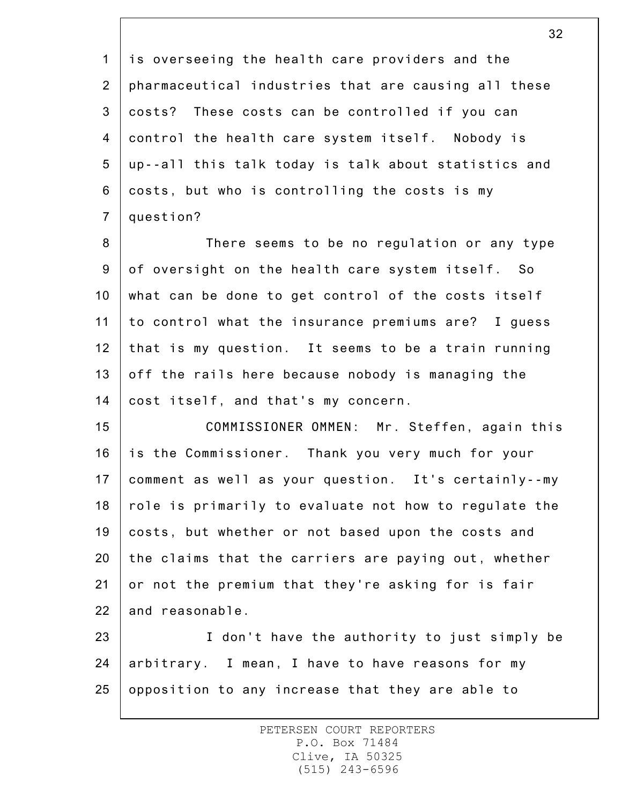1 2 3 4 5 6 7 is overseeing the health care providers and the pharmaceutical industries that are causing all these costs? These costs can be controlled if you can control the health care system itself. Nobody is up--all this talk today is talk about statistics and costs, but who is controlling the costs is my question?

8 9 10 11 12 13 14 There seems to be no regulation or any type of oversight on the health care system itself. So what can be done to get control of the costs itself to control what the insurance premiums are? I guess that is my question. It seems to be a train running off the rails here because nobody is managing the cost itself, and that's my concern.

15 16 17 18 19 20 21 22 COMMISSIONER OMMEN: Mr. Steffen, again this is the Commissioner. Thank you very much for your comment as well as your question. It's certainly--my role is primarily to evaluate not how to regulate the costs, but whether or not based upon the costs and the claims that the carriers are paying out, whether or not the premium that they're asking for is fair and reasonable.

23 24 25 I don't have the authority to just simply be arbitrary. I mean, I have to have reasons for my opposition to any increase that they are able to

> PETERSEN COURT REPORTERS P.O. Box 71484 Clive, IA 50325 (515) 243-6596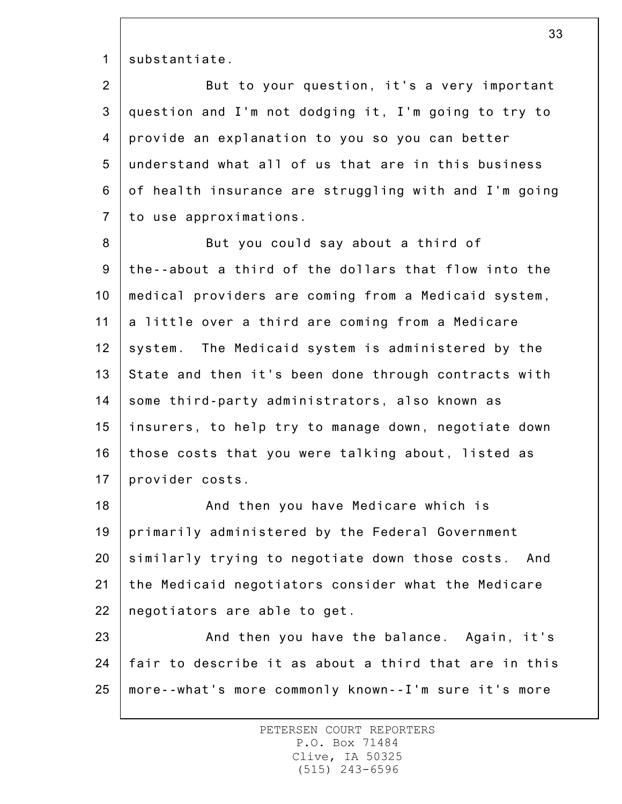1 substantiate.

2 3 4 5 6 7 But to your question, it's a very important question and I'm not dodging it, I'm going to try to provide an explanation to you so you can better understand what all of us that are in this business of health insurance are struggling with and I'm going to use approximations.

8 9 10 11 12 13 14 15 16 17 But you could say about a third of the--about a third of the dollars that flow into the medical providers are coming from a Medicaid system, a little over a third are coming from a Medicare system. The Medicaid system is administered by the State and then it's been done through contracts with some third-party administrators, also known as insurers, to help try to manage down, negotiate down those costs that you were talking about, listed as provider costs.

18 19 20 21 22 And then you have Medicare which is primarily administered by the Federal Government similarly trying to negotiate down those costs. And the Medicaid negotiators consider what the Medicare negotiators are able to get.

23 24 25 And then you have the balance. Again, it's fair to describe it as about a third that are in this more--what's more commonly known--I'm sure it's more

> PETERSEN COURT REPORTERS P.O. Box 71484 Clive, IA 50325 (515) 243-6596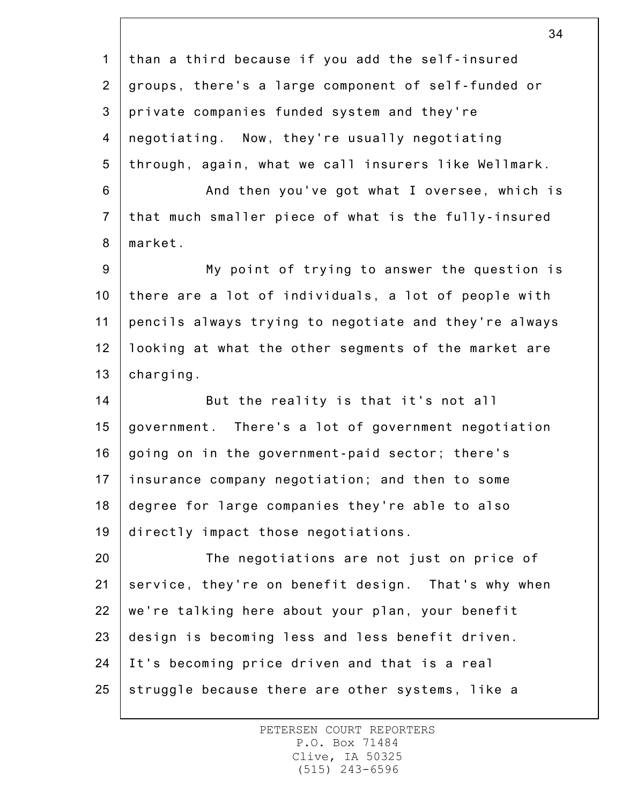1 2 3 4 5 6 7 8 9 10 11 12 13 14 15 16 17 18 19 20 21 22 23 24 25 34 than a third because if you add the self-insured groups, there's a large component of self-funded or private companies funded system and they're negotiating. Now, they're usually negotiating through, again, what we call insurers like Wellmark. And then you've got what I oversee, which is that much smaller piece of what is the fully-insured market. My point of trying to answer the question is there are a lot of individuals, a lot of people with pencils always trying to negotiate and they're always looking at what the other segments of the market are charging. But the reality is that it's not all government. There's a lot of government negotiation going on in the government-paid sector; there's insurance company negotiation; and then to some degree for large companies they're able to also directly impact those negotiations. The negotiations are not just on price of service, they're on benefit design. That's why when we're talking here about your plan, your benefit design is becoming less and less benefit driven. It's becoming price driven and that is a real struggle because there are other systems, like a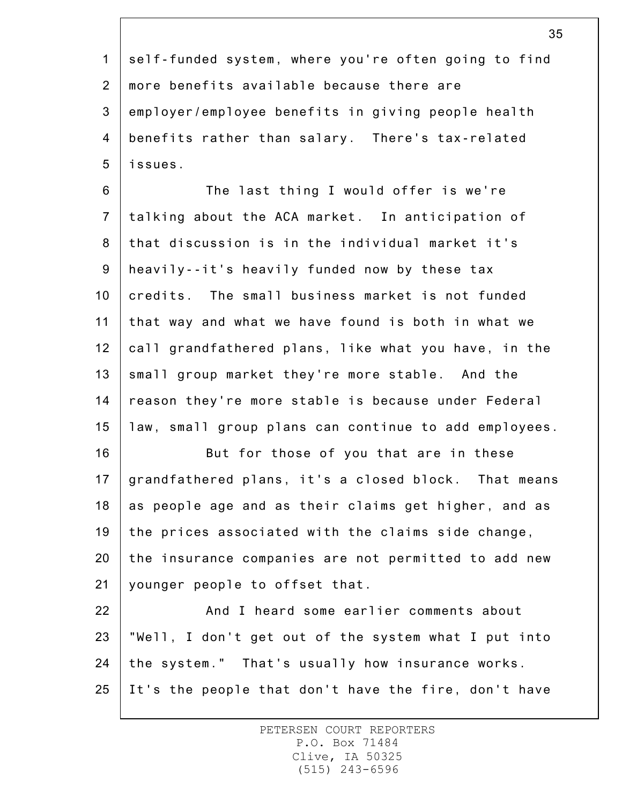1 2 3 4 5 self-funded system, where you're often going to find more benefits available because there are employer/employee benefits in giving people health benefits rather than salary. There's tax-related issues.

6 7 8 9 10 11 12 13 14 15 The last thing I would offer is we're talking about the ACA market. In anticipation of that discussion is in the individual market it's heavily--it's heavily funded now by these tax credits. The small business market is not funded that way and what we have found is both in what we call grandfathered plans, like what you have, in the small group market they're more stable. And the reason they're more stable is because under Federal law, small group plans can continue to add employees.

16 17 18 19 20 21 But for those of you that are in these grandfathered plans, it's a closed block. That means as people age and as their claims get higher, and as the prices associated with the claims side change, the insurance companies are not permitted to add new younger people to offset that.

22 23 24 25 And I heard some earlier comments about "Well, I don't get out of the system what I put into the system." That's usually how insurance works. It's the people that don't have the fire, don't have

> PETERSEN COURT REPORTERS P.O. Box 71484 Clive, IA 50325 (515) 243-6596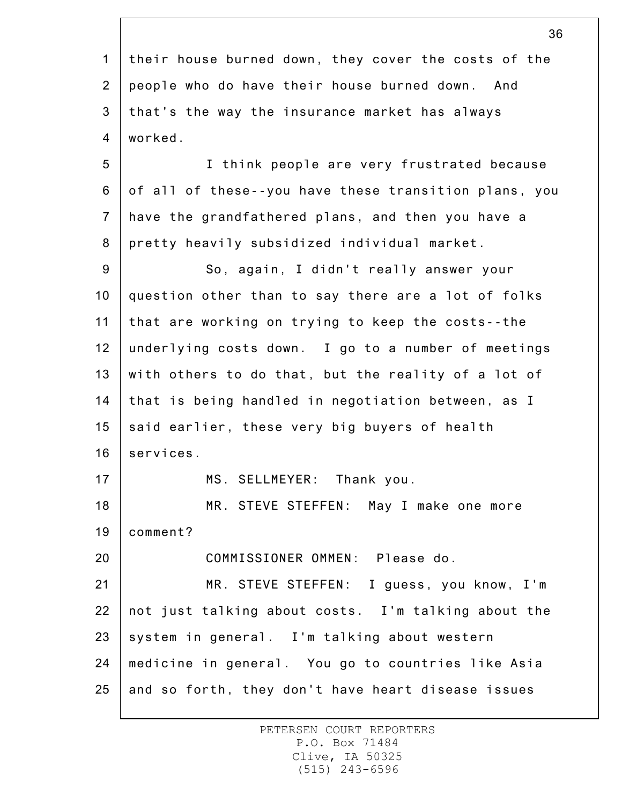1 2 3 4 5 6 7 8 9 10 11 12 13 14 15 16 17 18 19 20 21 22 23 24 25 their house burned down, they cover the costs of the people who do have their house burned down. And that's the way the insurance market has always worked. I think people are very frustrated because of all of these--you have these transition plans, you have the grandfathered plans, and then you have a pretty heavily subsidized individual market. So, again, I didn't really answer your question other than to say there are a lot of folks that are working on trying to keep the costs--the underlying costs down. I go to a number of meetings with others to do that, but the reality of a lot of that is being handled in negotiation between, as I said earlier, these very big buyers of health services. MS. SELLMEYER: Thank you. MR. STEVE STEFFEN: May I make one more comment? COMMISSIONER OMMEN: Please do. MR. STEVE STEFFEN: I guess, you know, I'm not just talking about costs. I'm talking about the system in general. I'm talking about western medicine in general. You go to countries like Asia and so forth, they don't have heart disease issues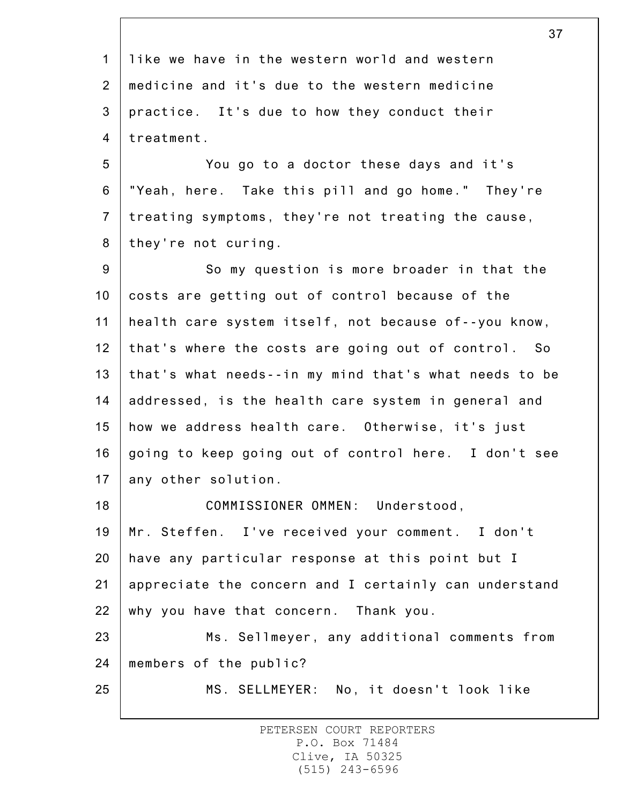1 2 3 4 5 6 7 8 9 10 11 12 13 14 15 16 17 18 19 20 21 22 23 24 25 37 like we have in the western world and western medicine and it's due to the western medicine practice. It's due to how they conduct their treatment. You go to a doctor these days and it's "Yeah, here. Take this pill and go home." They're treating symptoms, they're not treating the cause, they're not curing. So my question is more broader in that the costs are getting out of control because of the health care system itself, not because of--you know, that's where the costs are going out of control. So that's what needs--in my mind that's what needs to be addressed, is the health care system in general and how we address health care. Otherwise, it's just going to keep going out of control here. I don't see any other solution. COMMISSIONER OMMEN: Understood, Mr. Steffen. I've received your comment. I don't have any particular response at this point but I appreciate the concern and I certainly can understand why you have that concern. Thank you. Ms. Sellmeyer, any additional comments from members of the public? MS. SELLMEYER: No, it doesn't look like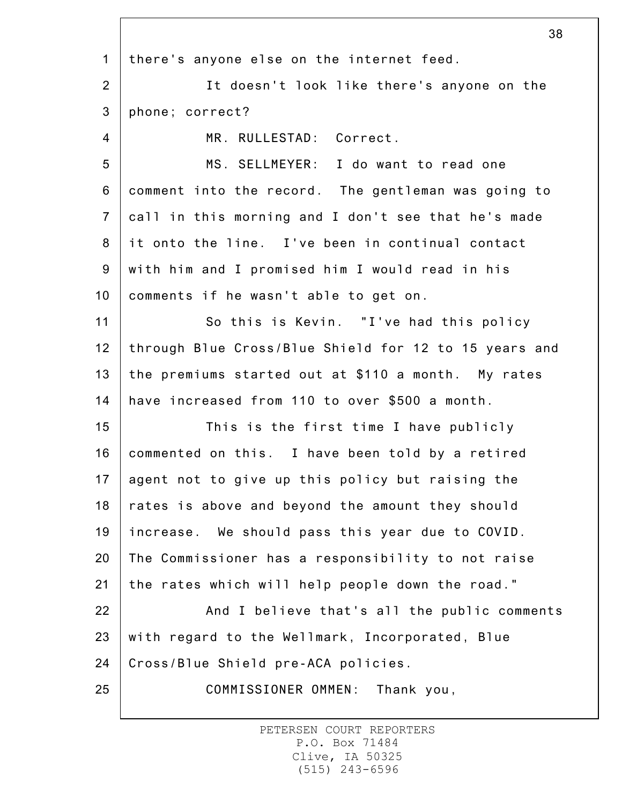1 2 3 4 5 6 7 8 9 10 11 12 13 14 15 16 17 18 19 20 21 22 23 24 25 38 there's anyone else on the internet feed. It doesn't look like there's anyone on the phone; correct? MR. RULLESTAD: Correct. MS. SELLMEYER: I do want to read one comment into the record. The gentleman was going to call in this morning and I don't see that he's made it onto the line. I've been in continual contact with him and I promised him I would read in his comments if he wasn't able to get on. So this is Kevin. "I've had this policy through Blue Cross/Blue Shield for 12 to 15 years and the premiums started out at \$110 a month. My rates have increased from 110 to over \$500 a month. This is the first time I have publicly commented on this. I have been told by a retired agent not to give up this policy but raising the rates is above and beyond the amount they should increase. We should pass this year due to COVID. The Commissioner has a responsibility to not raise the rates which will help people down the road." And I believe that's all the public comments with regard to the Wellmark, Incorporated, Blue Cross/Blue Shield pre-ACA policies. COMMISSIONER OMMEN: Thank you,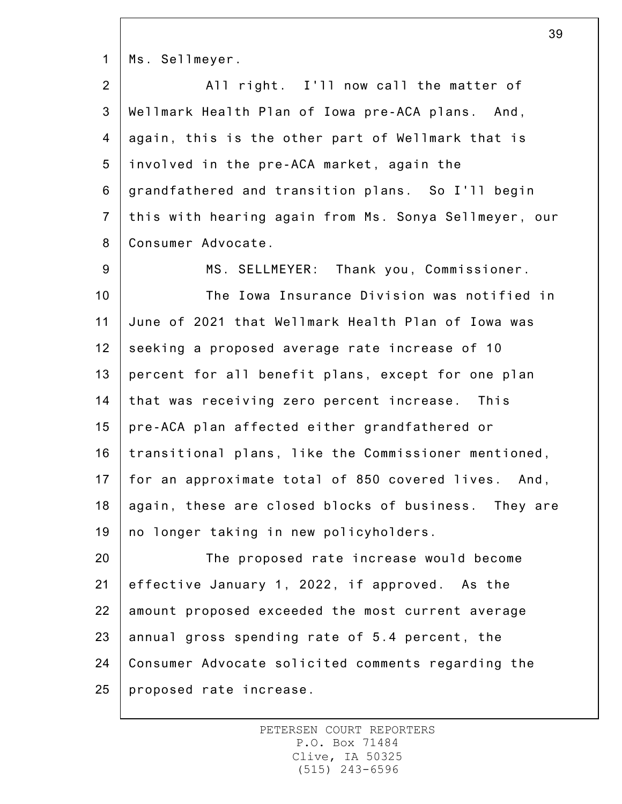1 Ms. Sellmeyer.

| $\overline{2}$ | All right. I'll now call the matter of                    |
|----------------|-----------------------------------------------------------|
| 3 <sup>1</sup> | Wellmark Health Plan of Iowa pre-ACA plans. And,          |
|                | 4   again, this is the other part of Wellmark that is     |
|                | 5   involved in the pre-ACA market, again the             |
|                | 6   grandfathered and transition plans. So I'll begin     |
|                | 7   this with hearing again from Ms. Sonya Sellmeyer, our |
| 8              | Consumer Advocate.                                        |

9 10 11 12 13 14 15 16 17 18 19 MS. SELLMEYER: Thank you, Commissioner. The Iowa Insurance Division was notified in June of 2021 that Wellmark Health Plan of Iowa was seeking a proposed average rate increase of 10 percent for all benefit plans, except for one plan that was receiving zero percent increase. This pre-ACA plan affected either grandfathered or transitional plans, like the Commissioner mentioned, for an approximate total of 850 covered lives. And, again, these are closed blocks of business. They are no longer taking in new policyholders.

20 21 22 23 24 25 The proposed rate increase would become effective January 1, 2022, if approved. As the amount proposed exceeded the most current average annual gross spending rate of 5.4 percent, the Consumer Advocate solicited comments regarding the proposed rate increase.

> PETERSEN COURT REPORTERS P.O. Box 71484 Clive, IA 50325 (515) 243-6596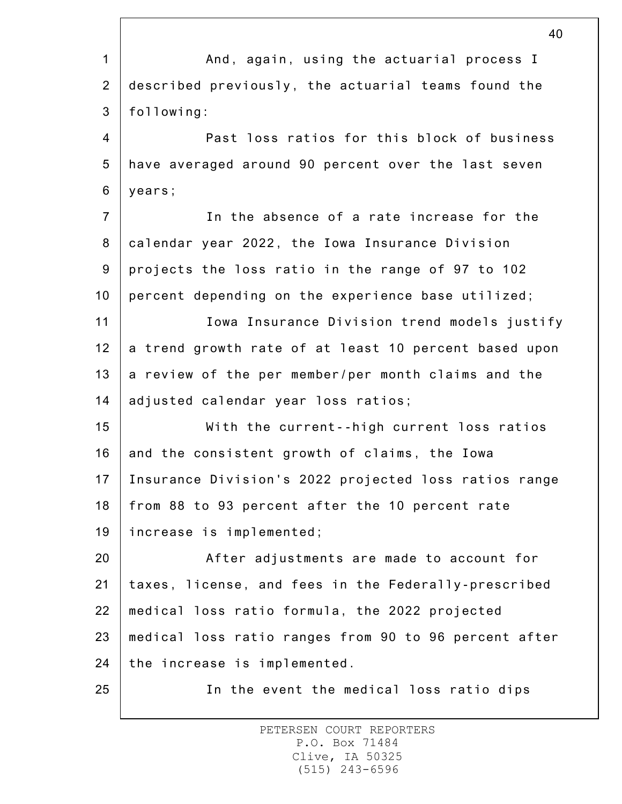|                | 40                                                    |
|----------------|-------------------------------------------------------|
| $\mathbf{1}$   | And, again, using the actuarial process I             |
| $\overline{2}$ | described previously, the actuarial teams found the   |
| 3              | following:                                            |
| 4              | Past loss ratios for this block of business           |
| 5              | have averaged around 90 percent over the last seven   |
| 6              | years;                                                |
| $\overline{7}$ | In the absence of a rate increase for the             |
| 8              | calendar year 2022, the Iowa Insurance Division       |
| 9              | projects the loss ratio in the range of 97 to 102     |
| 10             | percent depending on the experience base utilized;    |
| 11             | Iowa Insurance Division trend models justify          |
| 12             | a trend growth rate of at least 10 percent based upon |
| 13             | a review of the per member/per month claims and the   |
| 14             | adjusted calendar year loss ratios;                   |
| 15             | With the current--high current loss ratios            |
| 16             | and the consistent growth of claims, the Iowa         |
| 17             | Insurance Division's 2022 projected loss ratios range |
| 18             | from 88 to 93 percent after the 10 percent rate       |
| 19             | increase is implemented;                              |
| 20             | After adjustments are made to account for             |
| 21             | taxes, license, and fees in the Federally-prescribed  |
| 22             | medical loss ratio formula, the 2022 projected        |
| 23             | medical loss ratio ranges from 90 to 96 percent after |
| 24             | the increase is implemented.                          |
| 25             | In the event the medical loss ratio dips              |
|                |                                                       |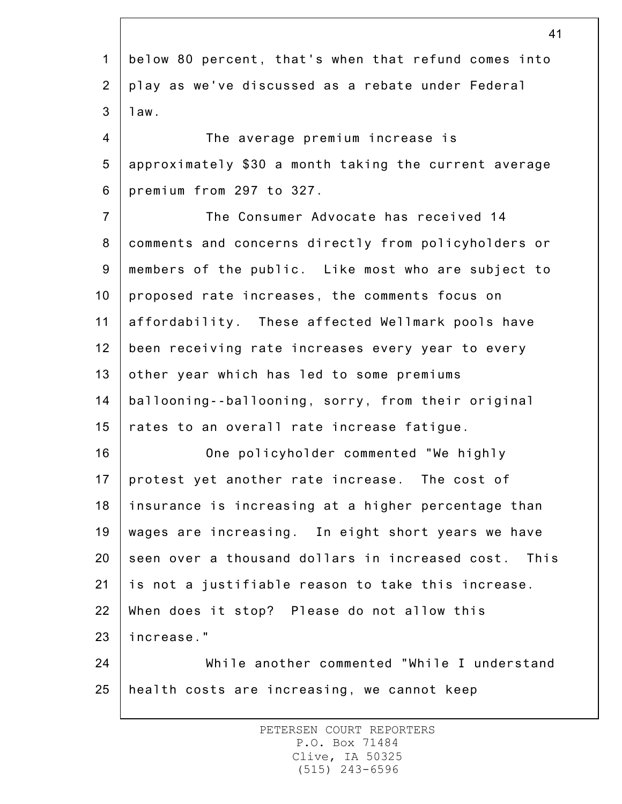1 2 3 4 5 6 7 8 9 10 11 12 13 14 15 16 17 18 19 20 21 22 23 24 25 41 below 80 percent, that's when that refund comes into play as we've discussed as a rebate under Federal law. The average premium increase is approximately \$30 a month taking the current average premium from 297 to 327. The Consumer Advocate has received 14 comments and concerns directly from policyholders or members of the public. Like most who are subject to proposed rate increases, the comments focus on affordability. These affected Wellmark pools have been receiving rate increases every year to every other year which has led to some premiums ballooning--ballooning, sorry, from their original rates to an overall rate increase fatigue. One policyholder commented "We highly protest yet another rate increase. The cost of insurance is increasing at a higher percentage than wages are increasing. In eight short years we have seen over a thousand dollars in increased cost. This is not a justifiable reason to take this increase. When does it stop? Please do not allow this increase." While another commented "While I understand health costs are increasing, we cannot keep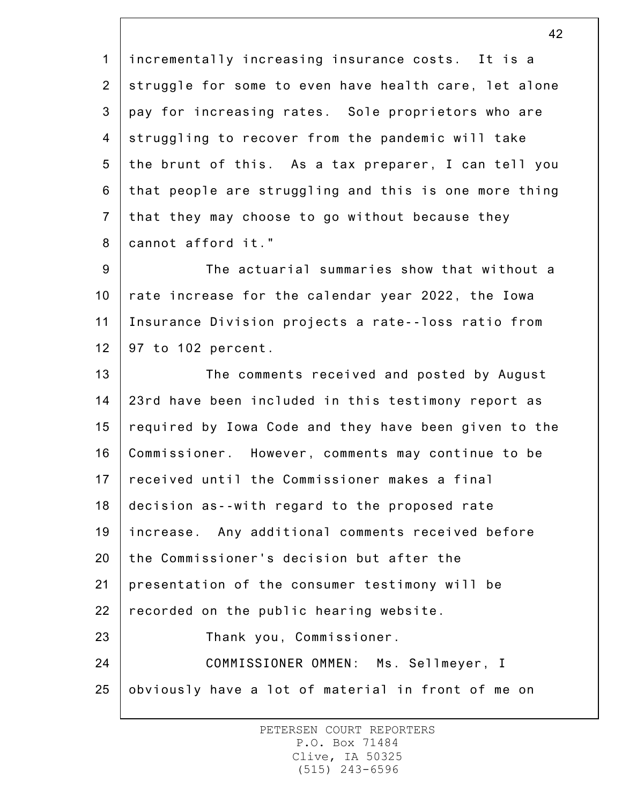1 2 3 4 5 6 7 8 incrementally increasing insurance costs. It is a struggle for some to even have health care, let alone pay for increasing rates. Sole proprietors who are struggling to recover from the pandemic will take the brunt of this. As a tax preparer, I can tell you that people are struggling and this is one more thing that they may choose to go without because they cannot afford it."

9 10 11 12 The actuarial summaries show that without a rate increase for the calendar year 2022, the Iowa Insurance Division projects a rate--loss ratio from 97 to 102 percent.

13 14 15 16 17 18 19 20 21 22 23 24 25 The comments received and posted by August 23rd have been included in this testimony report as required by Iowa Code and they have been given to the Commissioner. However, comments may continue to be received until the Commissioner makes a final decision as--with regard to the proposed rate increase. Any additional comments received before the Commissioner's decision but after the presentation of the consumer testimony will be recorded on the public hearing website. Thank you, Commissioner. COMMISSIONER OMMEN: Ms. Sellmeyer, I obviously have a lot of material in front of me on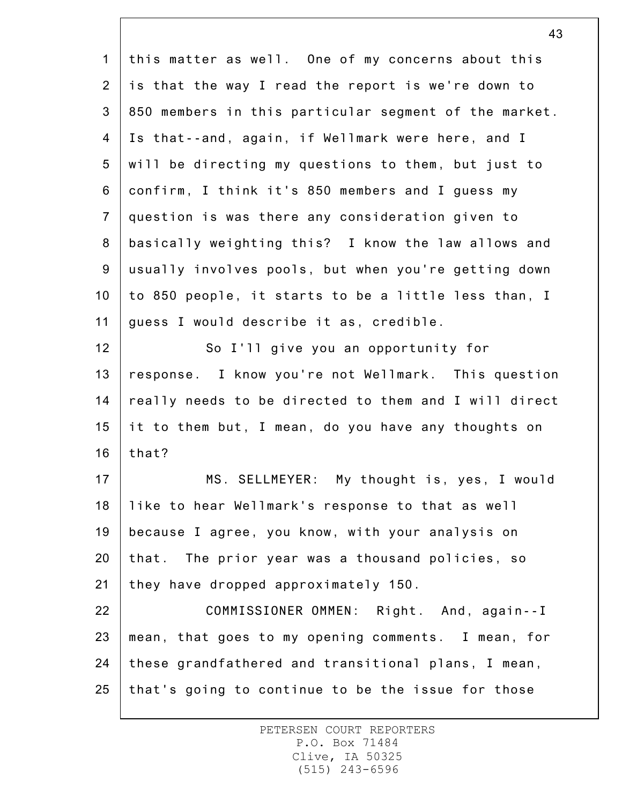| $\mathbf 1$     | this matter as well. One of my concerns about this    |
|-----------------|-------------------------------------------------------|
| $\overline{2}$  | is that the way I read the report is we're down to    |
| 3               | 850 members in this particular segment of the market. |
| 4               | Is that--and, again, if Wellmark were here, and I     |
| 5               | will be directing my questions to them, but just to   |
| 6               | confirm, I think it's 850 members and I guess my      |
| $\overline{7}$  | question is was there any consideration given to      |
| 8               | basically weighting this? I know the law allows and   |
| 9               | usually involves pools, but when you're getting down  |
| 10 <sub>1</sub> | to 850 people, it starts to be a little less than, I  |
| 11              | guess I would describe it as, credible.               |
| 12              | So I'll give you an opportunity for                   |
| 13              | response. I know you're not Wellmark. This question   |
| 14              | really needs to be directed to them and I will direct |
| 15              | it to them but, I mean, do you have any thoughts on   |
| 16              | that?                                                 |
| 17              | MS. SELLMEYER: My thought is, yes, I would            |
| 18              | like to hear Wellmark's response to that as well      |
| 19              | because I agree, you know, with your analysis on      |
| 20              | that. The prior year was a thousand policies, so      |
| 21              | they have dropped approximately 150.                  |
| 22              | COMMISSIONER OMMEN: Right. And, again--I              |
| 23              | mean, that goes to my opening comments. I mean, for   |
| 24              | these grandfathered and transitional plans, I mean,   |
| 25              | that's going to continue to be the issue for those    |
|                 |                                                       |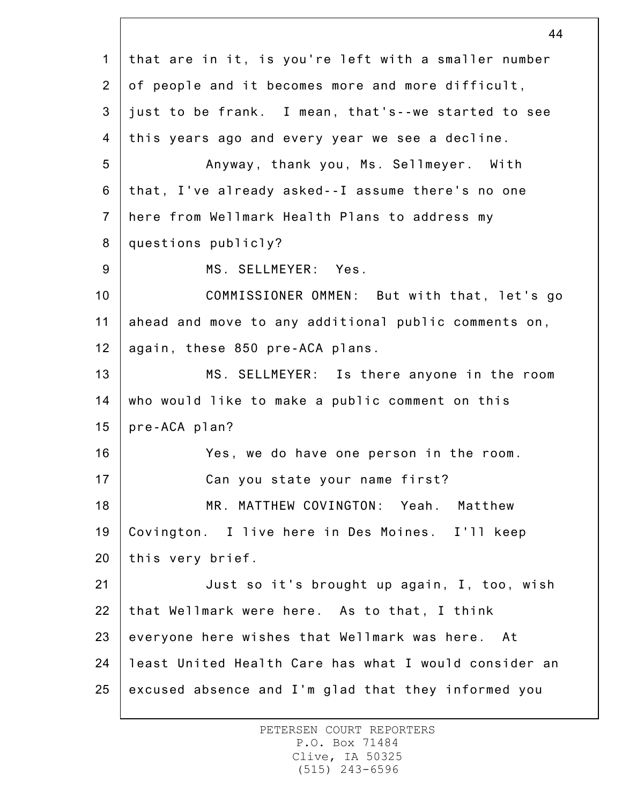1 2 3 4 5 6 7 8 9 10 11 12 13 14 15 16 17 18 19 20 21 22 23 24 25 that are in it, is you're left with a smaller number of people and it becomes more and more difficult, just to be frank. I mean, that's--we started to see this years ago and every year we see a decline. Anyway, thank you, Ms. Sellmeyer. With that, I've already asked--I assume there's no one here from Wellmark Health Plans to address my questions publicly? MS. SELLMEYER: Yes. COMMISSIONER OMMEN: But with that, let's go ahead and move to any additional public comments on, again, these 850 pre-ACA plans. MS. SELLMEYER: Is there anyone in the room who would like to make a public comment on this pre-ACA plan? Yes, we do have one person in the room. Can you state your name first? MR. MATTHEW COVINGTON: Yeah. Matthew Covington. I live here in Des Moines. I'll keep this very brief. Just so it's brought up again, I, too, wish that Wellmark were here. As to that, I think everyone here wishes that Wellmark was here. At least United Health Care has what I would consider an excused absence and I'm glad that they informed you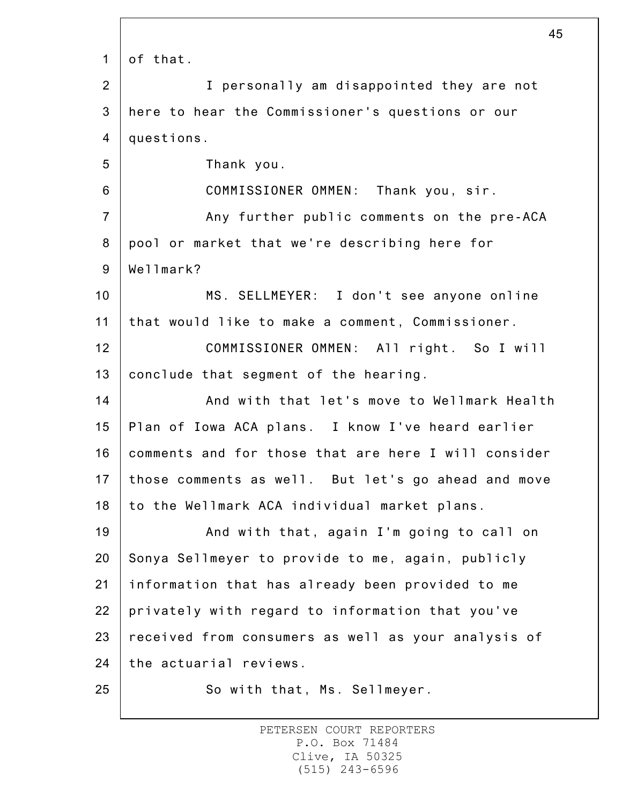1 2 3 4 5 6 7 8 9 10 11 12 13 14 15 16 17 18 19 20 21 22 23 24 25 45 of that. I personally am disappointed they are not here to hear the Commissioner's questions or our questions. Thank you. COMMISSIONER OMMEN: Thank you, sir. Any further public comments on the pre-ACA pool or market that we're describing here for Wellmark? MS. SELLMEYER: I don't see anyone online that would like to make a comment, Commissioner. COMMISSIONER OMMEN: All right. So I will conclude that segment of the hearing. And with that let's move to Wellmark Health Plan of Iowa ACA plans. I know I've heard earlier comments and for those that are here I will consider those comments as well. But let's go ahead and move to the Wellmark ACA individual market plans. And with that, again I'm going to call on Sonya Sellmeyer to provide to me, again, publicly information that has already been provided to me privately with regard to information that you've received from consumers as well as your analysis of the actuarial reviews. So with that, Ms. Sellmeyer.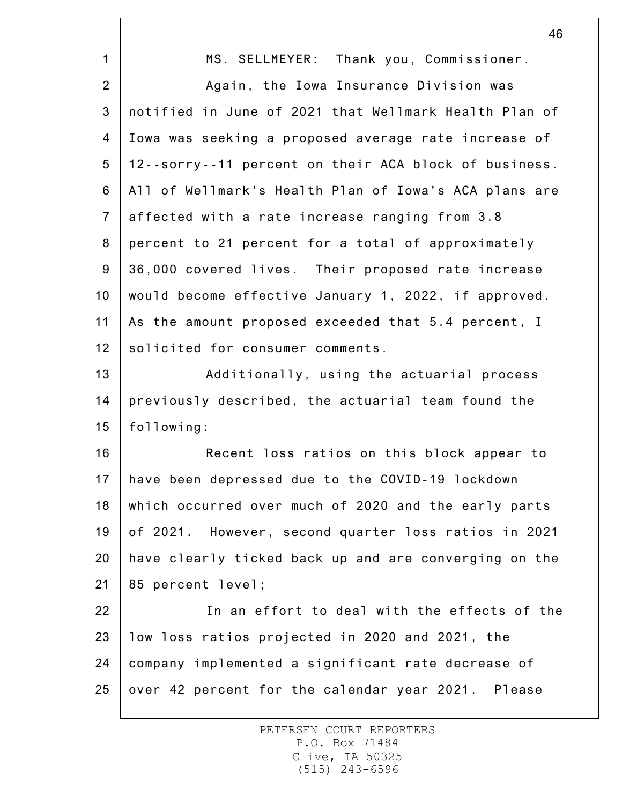|                | ᠇◡                                                    |
|----------------|-------------------------------------------------------|
| $\mathbf{1}$   | MS. SELLMEYER: Thank you, Commissioner.               |
| $\overline{2}$ | Again, the Iowa Insurance Division was                |
| 3              | notified in June of 2021 that Wellmark Health Plan of |
| 4              | Iowa was seeking a proposed average rate increase of  |
| 5              | 12--sorry--11 percent on their ACA block of business. |
| 6              | All of Wellmark's Health Plan of Iowa's ACA plans are |
| $\overline{7}$ | affected with a rate increase ranging from 3.8        |
| 8              | percent to 21 percent for a total of approximately    |
| $9\,$          | 36,000 covered lives. Their proposed rate increase    |
| 10             | would become effective January 1, 2022, if approved.  |
| 11             | As the amount proposed exceeded that 5.4 percent, I   |
| 12             | solicited for consumer comments.                      |
| 13             | Additionally, using the actuarial process             |
| 14             | previously described, the actuarial team found the    |
| 15             | following:                                            |
| 16             | Recent loss ratios on this block appear to            |
| 17             | have been depressed due to the COVID-19 lockdown      |
| 18             | which occurred over much of 2020 and the early parts  |
| 19             | of 2021. However, second quarter loss ratios in 2021  |
| 20             | have clearly ticked back up and are converging on the |
| 21             | 85 percent level;                                     |
| 22             | In an effort to deal with the effects of the          |
| 23             | low loss ratios projected in 2020 and 2021, the       |
| 24             | company implemented a significant rate decrease of    |
| 25             | over 42 percent for the calendar year 2021. Please    |
|                |                                                       |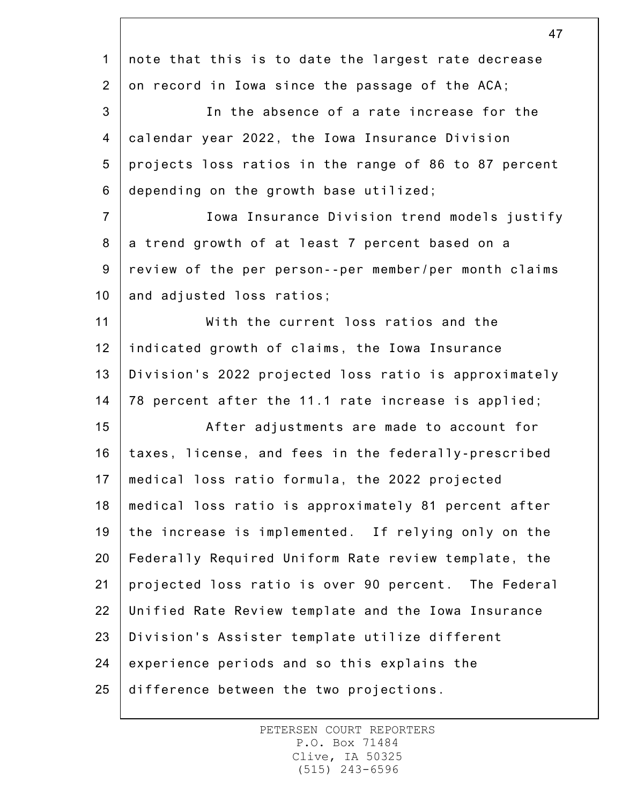|                | 47                                                    |
|----------------|-------------------------------------------------------|
| $\mathbf{1}$   | note that this is to date the largest rate decrease   |
| $\overline{2}$ | on record in Iowa since the passage of the ACA;       |
| $\mathfrak{B}$ | In the absence of a rate increase for the             |
| 4              | calendar year 2022, the Iowa Insurance Division       |
| 5              | projects loss ratios in the range of 86 to 87 percent |
| 6              | depending on the growth base utilized;                |
| $\overline{7}$ | Iowa Insurance Division trend models justify          |
| 8              | a trend growth of at least 7 percent based on a       |
| $9\,$          | review of the per person--per member/per month claims |
| 10             | and adjusted loss ratios;                             |
| 11             | With the current loss ratios and the                  |
| 12             | indicated growth of claims, the Iowa Insurance        |
| 13             | Division's 2022 projected loss ratio is approximately |
| 14             | 78 percent after the 11.1 rate increase is applied;   |
| 15             | After adjustments are made to account for             |
| 16             | taxes, license, and fees in the federally-prescribed  |
| 17             | medical loss ratio formula, the 2022 projected        |
| 18             | medical loss ratio is approximately 81 percent after  |
| 19             | the increase is implemented. If relying only on the   |
| 20             | Federally Required Uniform Rate review template, the  |
| 21             | projected loss ratio is over 90 percent. The Federal  |
| 22             | Unified Rate Review template and the Iowa Insurance   |
| 23             | Division's Assister template utilize different        |
| 24             | experience periods and so this explains the           |
| 25             | difference between the two projections.               |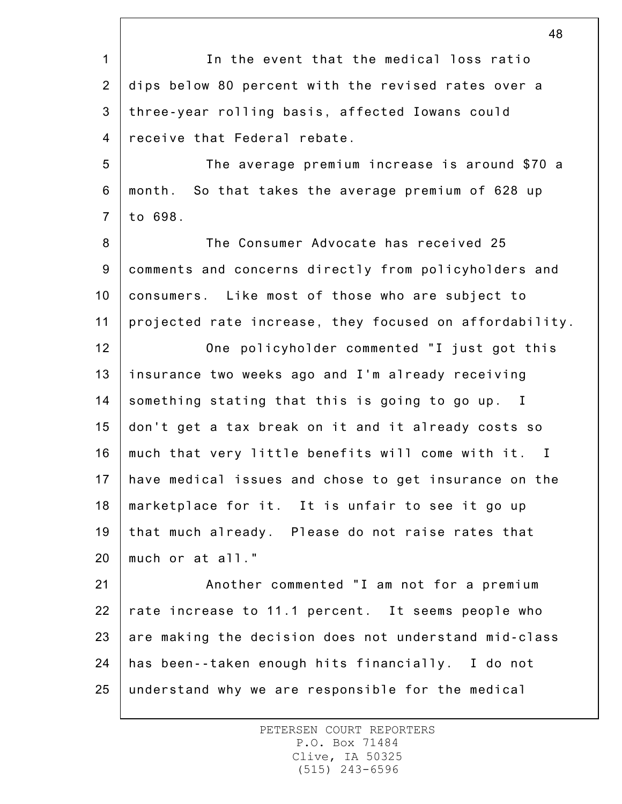1 2 3 4 5 6 7 8 9 10 11 12 13 14 15 16 17 18 19 20 48 In the event that the medical loss ratio dips below 80 percent with the revised rates over a three-year rolling basis, affected Iowans could receive that Federal rebate. The average premium increase is around \$70 a month. So that takes the average premium of 628 up to 698. The Consumer Advocate has received 25 comments and concerns directly from policyholders and consumers. Like most of those who are subject to projected rate increase, they focused on affordability. One policyholder commented "I just got this insurance two weeks ago and I'm already receiving something stating that this is going to go up. I don't get a tax break on it and it already costs so much that very little benefits will come with it. I have medical issues and chose to get insurance on the marketplace for it. It is unfair to see it go up that much already. Please do not raise rates that much or at all."

21 22 23 24 25 Another commented "I am not for a premium rate increase to 11.1 percent. It seems people who are making the decision does not understand mid-class has been--taken enough hits financially. I do not understand why we are responsible for the medical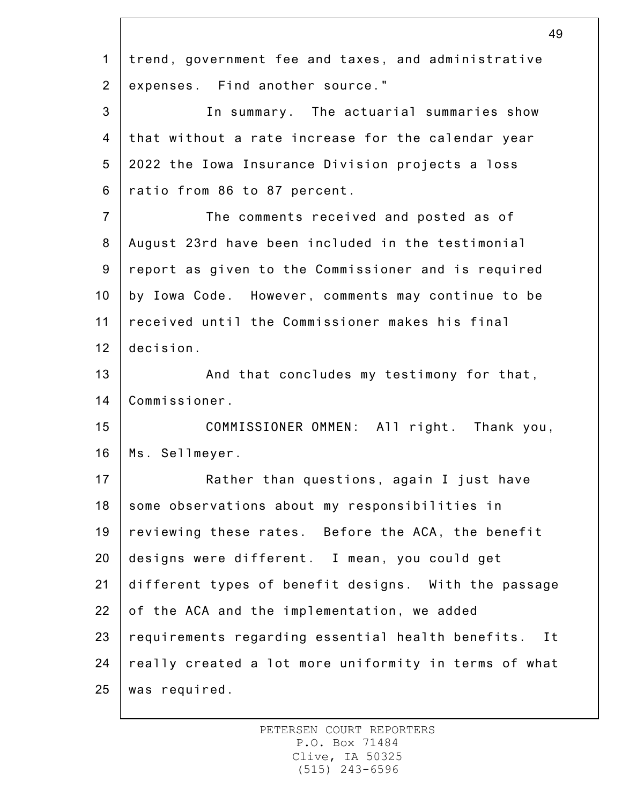|                 | 49                                                    |
|-----------------|-------------------------------------------------------|
| $\mathbf{1}$    | trend, government fee and taxes, and administrative   |
| $\overline{2}$  | expenses. Find another source."                       |
| 3               | In summary. The actuarial summaries show              |
| $\overline{4}$  | that without a rate increase for the calendar year    |
| 5               | 2022 the Iowa Insurance Division projects a loss      |
| 6               | ratio from 86 to 87 percent.                          |
| $\overline{7}$  | The comments received and posted as of                |
| 8               | August 23rd have been included in the testimonial     |
| 9               | report as given to the Commissioner and is required   |
| 10 <sub>1</sub> | by Iowa Code. However, comments may continue to be    |
| 11              | received until the Commissioner makes his final       |
| 12              | decision.                                             |
| 13              | And that concludes my testimony for that,             |
| 14              | Commissioner.                                         |
| 15              | COMMISSIONER OMMEN: All right. Thank you,             |
| 16              | Ms. Sellmeyer.                                        |
| 17              | Rather than questions, again I just have              |
| 18              | some observations about my responsibilities in        |
| 19              | reviewing these rates. Before the ACA, the benefit    |
| 20              | designs were different. I mean, you could get         |
| 21              | different types of benefit designs. With the passage  |
| 22              | of the ACA and the implementation, we added           |
| 23              | requirements regarding essential health benefits. It  |
| 24              | really created a lot more uniformity in terms of what |
| 25              | was required.                                         |

 $\overline{40}$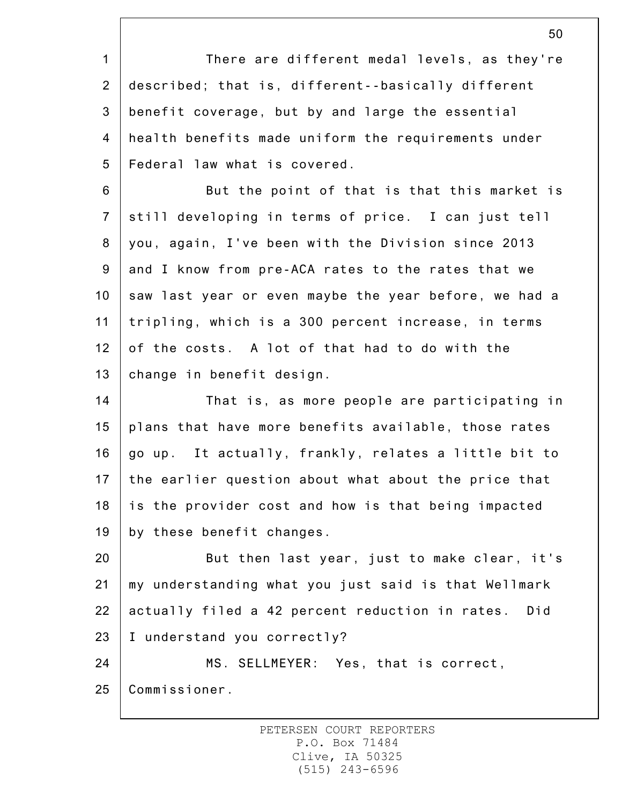1 2 3 4 5 6 7 8 9 10 11 12 13 14 15 16 17 18 19 20 21 22 23 24 25 There are different medal levels, as they're described; that is, different--basically different benefit coverage, but by and large the essential health benefits made uniform the requirements under Federal law what is covered. But the point of that is that this market is still developing in terms of price. I can just tell you, again, I've been with the Division since 2013 and I know from pre-ACA rates to the rates that we saw last year or even maybe the year before, we had a tripling, which is a 300 percent increase, in terms of the costs. A lot of that had to do with the change in benefit design. That is, as more people are participating in plans that have more benefits available, those rates go up. It actually, frankly, relates a little bit to the earlier question about what about the price that is the provider cost and how is that being impacted by these benefit changes. But then last year, just to make clear, it's my understanding what you just said is that Wellmark actually filed a 42 percent reduction in rates. Did I understand you correctly? MS. SELLMEYER: Yes, that is correct, Commissioner.

> PETERSEN COURT REPORTERS P.O. Box 71484 Clive, IA 50325 (515) 243-6596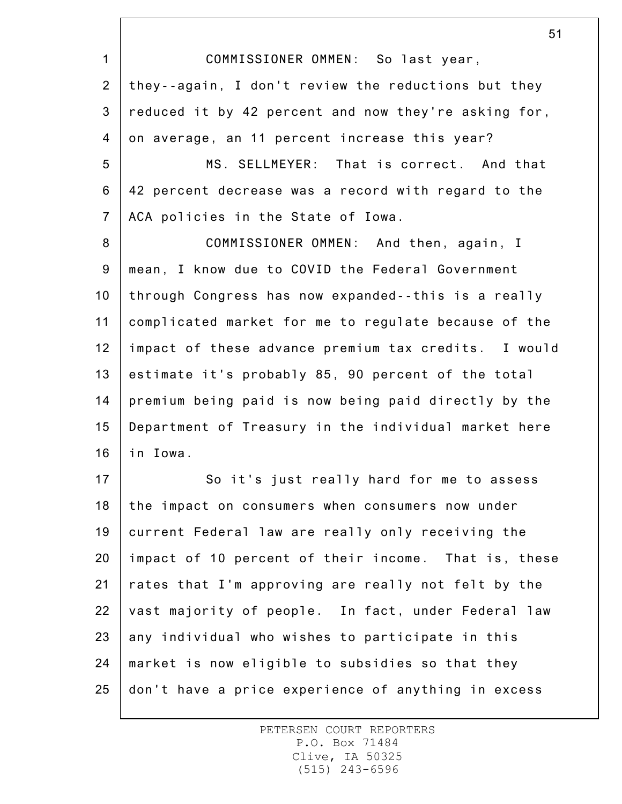1 2 3 4 5 6 7 8 9 10 11 12 13 14 15 16 COMMISSIONER OMMEN: So last year, they--again, I don't review the reductions but they reduced it by 42 percent and now they're asking for, on average, an 11 percent increase this year? MS. SELLMEYER: That is correct. And that 42 percent decrease was a record with regard to the ACA policies in the State of Iowa. COMMISSIONER OMMEN: And then, again, I mean, I know due to COVID the Federal Government through Congress has now expanded--this is a really complicated market for me to regulate because of the impact of these advance premium tax credits. I would estimate it's probably 85, 90 percent of the total premium being paid is now being paid directly by the Department of Treasury in the individual market here in Iowa.

17 18 19 20 21 22 23 24 25 So it's just really hard for me to assess the impact on consumers when consumers now under current Federal law are really only receiving the impact of 10 percent of their income. That is, these rates that I'm approving are really not felt by the vast majority of people. In fact, under Federal law any individual who wishes to participate in this market is now eligible to subsidies so that they don't have a price experience of anything in excess

> PETERSEN COURT REPORTERS P.O. Box 71484 Clive, IA 50325 (515) 243-6596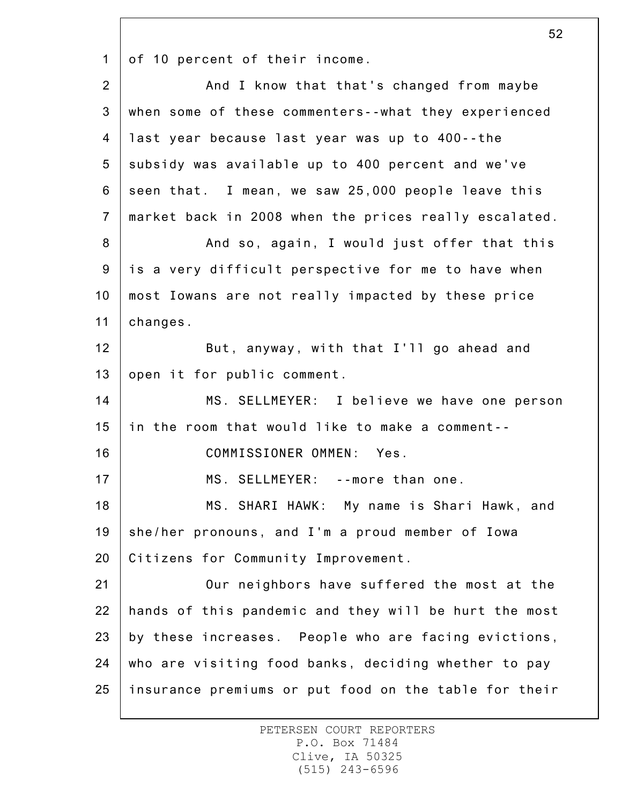1 of 10 percent of their income.

| 2              | And I know that that's changed from maybe             |
|----------------|-------------------------------------------------------|
| $\mathbf{3}$   | when some of these commenters--what they experienced  |
| 4              | last year because last year was up to 400--the        |
| 5              | subsidy was available up to 400 percent and we've     |
| 6              | seen that. I mean, we saw 25,000 people leave this    |
| $\overline{7}$ | market back in 2008 when the prices really escalated. |
| 8              | And so, again, I would just offer that this           |
| 9              | is a very difficult perspective for me to have when   |
| 10             | most Iowans are not really impacted by these price    |
| 11             | changes.                                              |
| 12             | But, anyway, with that I'll go ahead and              |
| 13             | open it for public comment.                           |
| 14             | MS. SELLMEYER: I believe we have one person           |
| 15             | in the room that would like to make a comment--       |
| 16             | COMMISSIONER OMMEN: Yes.                              |
| 17             | MS. SELLMEYER: --more than one.                       |
| 18             | MS. SHARI HAWK: My name is Shari Hawk, and            |
| 19             | she/her pronouns, and I'm a proud member of Iowa      |
| 20             | Citizens for Community Improvement.                   |
| 21             | Our neighbors have suffered the most at the           |
| 22             | hands of this pandemic and they will be hurt the most |
| 23             | by these increases. People who are facing evictions,  |
| 24             | who are visiting food banks, deciding whether to pay  |
| 25             | insurance premiums or put food on the table for their |

PETERSEN COURT REPORTERS P.O. Box 71484 Clive, IA 50325 (515) 243-6596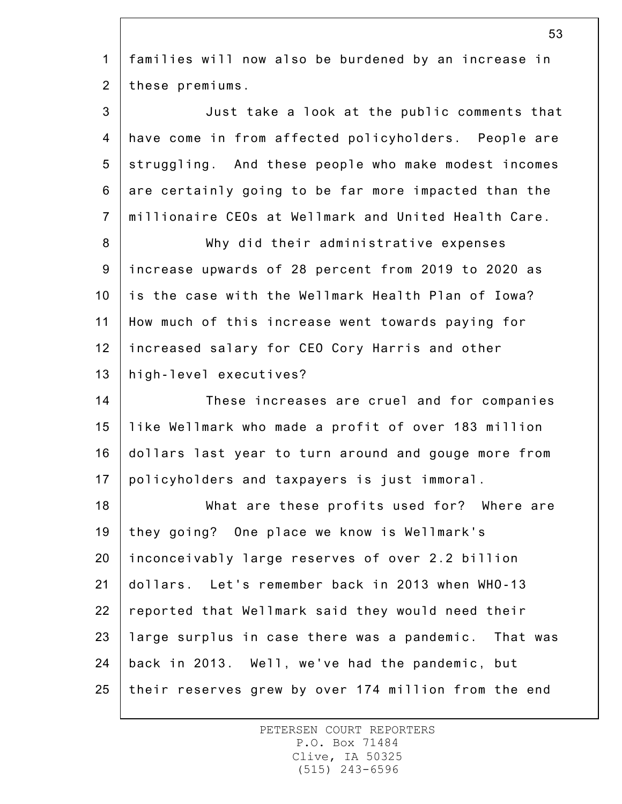1 2 3 4 5 6 7 8 9 10 11 12 13 14 15 16 17 18 19 20 21 22 53 families will now also be burdened by an increase in these premiums. Just take a look at the public comments that have come in from affected policyholders. People are struggling. And these people who make modest incomes are certainly going to be far more impacted than the millionaire CEOs at Wellmark and United Health Care. Why did their administrative expenses increase upwards of 28 percent from 2019 to 2020 as is the case with the Wellmark Health Plan of Iowa? How much of this increase went towards paying for increased salary for CEO Cory Harris and other high-level executives? These increases are cruel and for companies like Wellmark who made a profit of over 183 million dollars last year to turn around and gouge more from policyholders and taxpayers is just immoral. What are these profits used for? Where are they going? One place we know is Wellmark's inconceivably large reserves of over 2.2 billion dollars. Let's remember back in 2013 when WHO-13 reported that Wellmark said they would need their

23 24 25 large surplus in case there was a pandemic. That was back in 2013. Well, we've had the pandemic, but their reserves grew by over 174 million from the end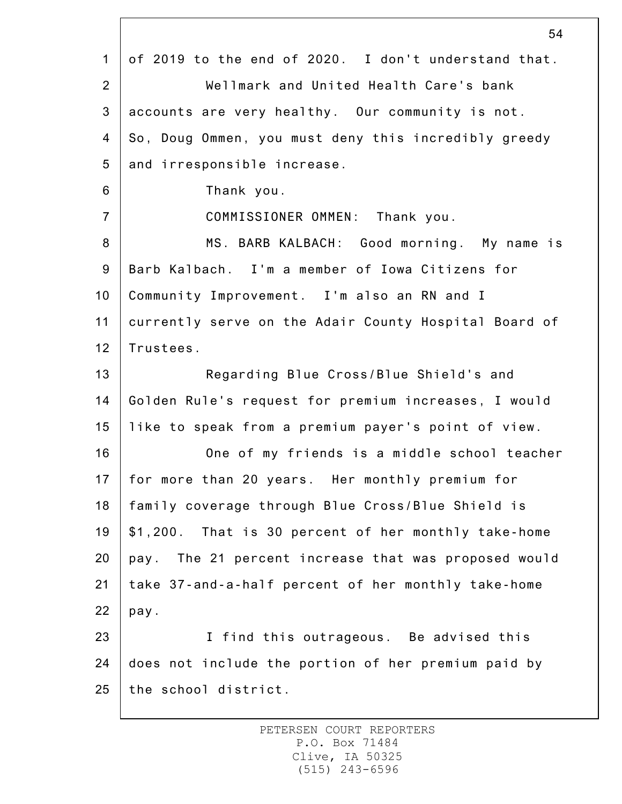|                | 54                                                    |
|----------------|-------------------------------------------------------|
| $\mathbf{1}$   | of 2019 to the end of 2020. I don't understand that.  |
| $\overline{2}$ | Wellmark and United Health Care's bank                |
| 3              | accounts are very healthy. Our community is not.      |
| $\overline{4}$ | So, Doug Ommen, you must deny this incredibly greedy  |
| 5              | and irresponsible increase.                           |
| 6              | Thank you.                                            |
| $\overline{7}$ | COMMISSIONER OMMEN: Thank you.                        |
| 8              | MS. BARB KALBACH: Good morning. My name is            |
| 9              | Barb Kalbach. I'm a member of Iowa Citizens for       |
| 10             | Community Improvement. I'm also an RN and I           |
| 11             | currently serve on the Adair County Hospital Board of |
| 12             | Trustees.                                             |
| 13             | Regarding Blue Cross/Blue Shield's and                |
| 14             | Golden Rule's request for premium increases, I would  |
| 15             | like to speak from a premium payer's point of view.   |
| 16             | One of my friends is a middle school teacher          |
| 17             | for more than 20 years. Her monthly premium for       |
| 18             | family coverage through Blue Cross/Blue Shield is     |
| 19             | \$1,200. That is 30 percent of her monthly take-home  |
| 20             | pay. The 21 percent increase that was proposed would  |
| 21             | take 37-and-a-half percent of her monthly take-home   |
| 22             | pay.                                                  |
| 23             | I find this outrageous. Be advised this               |
| 24             | does not include the portion of her premium paid by   |
| 25             | the school district.                                  |
|                |                                                       |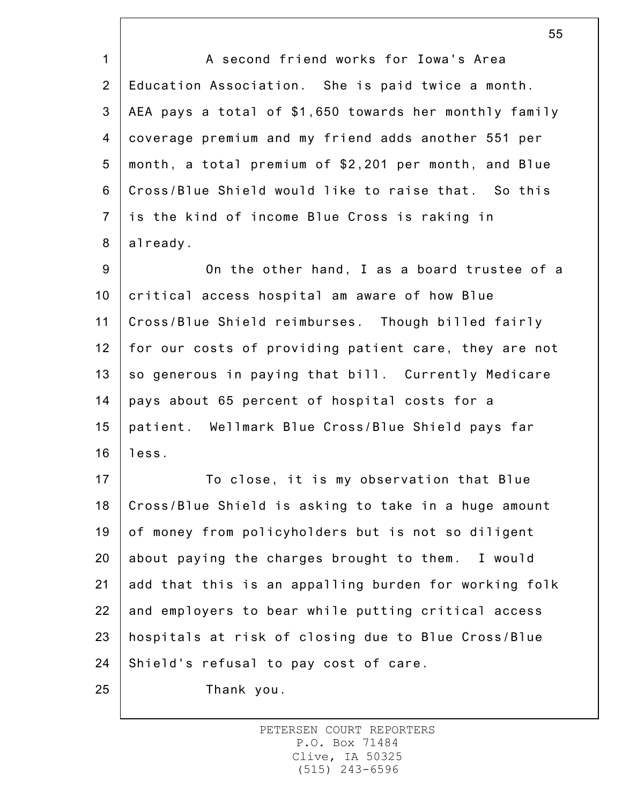1 2 3 4 5 6 7 8 9 10 11 12 13 14 15 16 17 18 19 20 21 22 23 24 25 A second friend works for Iowa's Area Education Association. She is paid twice a month. AEA pays a total of \$1,650 towards her monthly family coverage premium and my friend adds another 551 per month, a total premium of \$2,201 per month, and Blue Cross/Blue Shield would like to raise that. So this is the kind of income Blue Cross is raking in already. On the other hand, I as a board trustee of a critical access hospital am aware of how Blue Cross/Blue Shield reimburses. Though billed fairly for our costs of providing patient care, they are not so generous in paying that bill. Currently Medicare pays about 65 percent of hospital costs for a patient. Wellmark Blue Cross/Blue Shield pays far less. To close, it is my observation that Blue Cross/Blue Shield is asking to take in a huge amount of money from policyholders but is not so diligent about paying the charges brought to them. I would add that this is an appalling burden for working folk and employers to bear while putting critical access hospitals at risk of closing due to Blue Cross/Blue Shield's refusal to pay cost of care. Thank you.

> PETERSEN COURT REPORTERS P.O. Box 71484 Clive, IA 50325 (515) 243-6596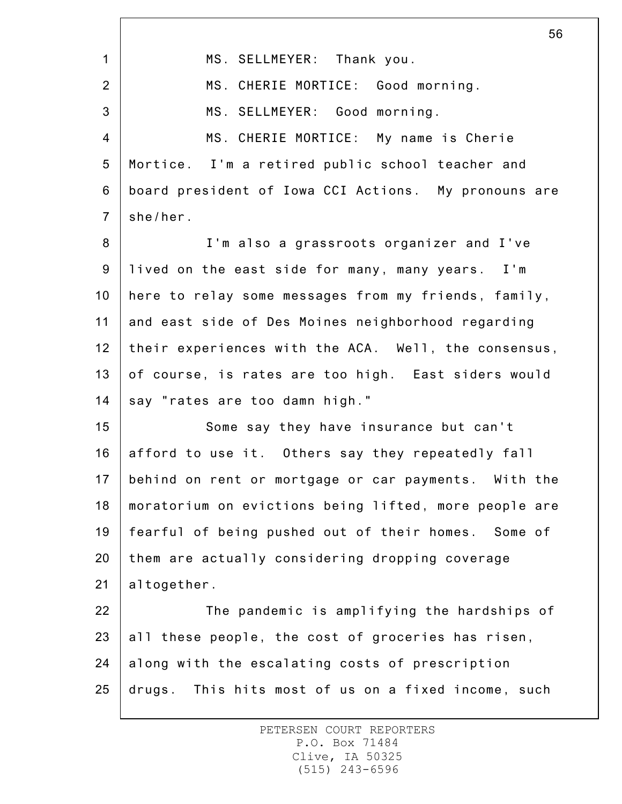|                  | 56                                                    |
|------------------|-------------------------------------------------------|
| $\mathbf{1}$     | MS. SELLMEYER: Thank you.                             |
| $\overline{2}$   | MS. CHERIE MORTICE: Good morning.                     |
| 3                | MS. SELLMEYER: Good morning.                          |
| $\overline{4}$   | MS. CHERIE MORTICE: My name is Cherie                 |
| $\sqrt{5}$       | Mortice. I'm a retired public school teacher and      |
| 6                | board president of Iowa CCI Actions. My pronouns are  |
| $\overline{7}$   | she/her.                                              |
| 8                | I'm also a grassroots organizer and I've              |
| $\boldsymbol{9}$ | lived on the east side for many, many years. I'm      |
| 10               | here to relay some messages from my friends, family,  |
| 11               | and east side of Des Moines neighborhood regarding    |
| 12               | their experiences with the ACA. Well, the consensus,  |
| 13               | of course, is rates are too high. East siders would   |
| 14               | say "rates are too damn high."                        |
| 15               | Some say they have insurance but can't                |
| 16               | afford to use it. Others say they repeatedly fall     |
| 17 <sub>1</sub>  | behind on rent or mortgage or car payments. With the  |
| 18               | moratorium on evictions being lifted, more people are |
| 19               | fearful of being pushed out of their homes. Some of   |
| 20               | them are actually considering dropping coverage       |
| 21               | altogether.                                           |
| 22               | The pandemic is amplifying the hardships of           |
| 23               | all these people, the cost of groceries has risen,    |
| 24               | along with the escalating costs of prescription       |
| 25               | drugs. This hits most of us on a fixed income, such   |
|                  |                                                       |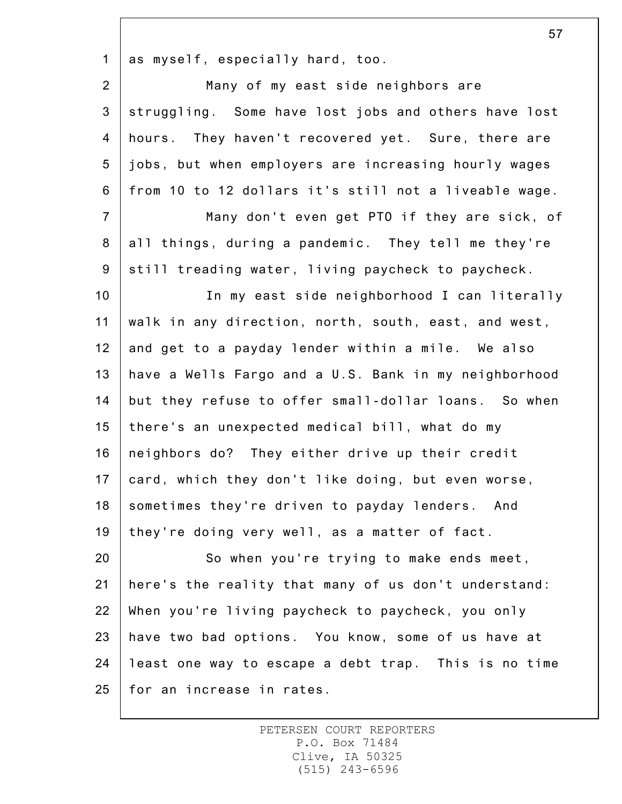1 as myself, especially hard, too.

2 3 4 5 6 7 Many of my east side neighbors are struggling. Some have lost jobs and others have lost hours. They haven't recovered yet. Sure, there are jobs, but when employers are increasing hourly wages from 10 to 12 dollars it's still not a liveable wage. Many don't even get PTO if they are sick, of

8 9 all things, during a pandemic. They tell me they're still treading water, living paycheck to paycheck.

10 11 12 13 14 15 16 17 18 19 In my east side neighborhood I can literally walk in any direction, north, south, east, and west, and get to a payday lender within a mile. We also have a Wells Fargo and a U.S. Bank in my neighborhood but they refuse to offer small-dollar loans. So when there's an unexpected medical bill, what do my neighbors do? They either drive up their credit card, which they don't like doing, but even worse, sometimes they're driven to payday lenders. And they're doing very well, as a matter of fact.

20 21 22 23 24 25 So when you're trying to make ends meet, here's the reality that many of us don't understand: When you're living paycheck to paycheck, you only have two bad options. You know, some of us have at least one way to escape a debt trap. This is no time for an increase in rates.

> PETERSEN COURT REPORTERS P.O. Box 71484 Clive, IA 50325 (515) 243-6596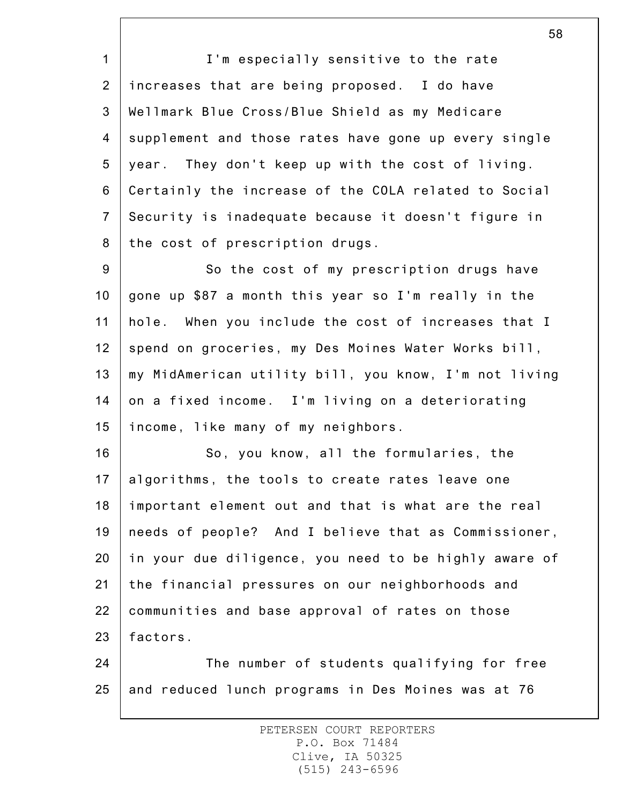1 2 3 4 5 6 7 8 I'm especially sensitive to the rate increases that are being proposed. I do have Wellmark Blue Cross/Blue Shield as my Medicare supplement and those rates have gone up every single year. They don't keep up with the cost of living. Certainly the increase of the COLA related to Social Security is inadequate because it doesn't figure in the cost of prescription drugs.

9 10 11 12 13 14 15 So the cost of my prescription drugs have gone up \$87 a month this year so I'm really in the hole. When you include the cost of increases that I spend on groceries, my Des Moines Water Works bill, my MidAmerican utility bill, you know, I'm not living on a fixed income. I'm living on a deteriorating income, like many of my neighbors.

16 17 18 19 20 21 22 23 So, you know, all the formularies, the algorithms, the tools to create rates leave one important element out and that is what are the real needs of people? And I believe that as Commissioner, in your due diligence, you need to be highly aware of the financial pressures on our neighborhoods and communities and base approval of rates on those factors.

24 25 The number of students qualifying for free and reduced lunch programs in Des Moines was at 76

> PETERSEN COURT REPORTERS P.O. Box 71484 Clive, IA 50325 (515) 243-6596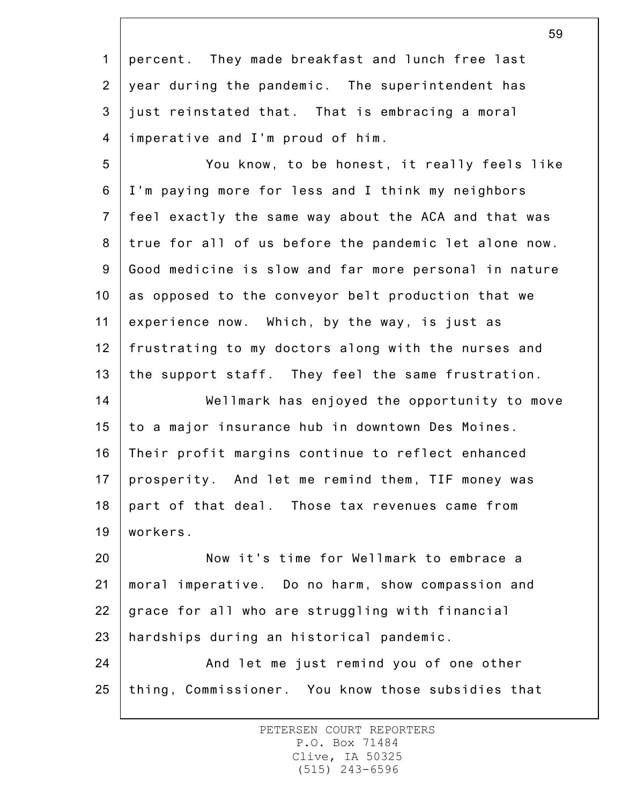1 2 3 4 percent. They made breakfast and lunch free last year during the pandemic. The superintendent has just reinstated that. That is embracing a moral imperative and I'm proud of him.

5 6 7 8 9 10 11 12 13 You know, to be honest, it really feels like I'm paying more for less and I think my neighbors feel exactly the same way about the ACA and that was true for all of us before the pandemic let alone now. Good medicine is slow and far more personal in nature as opposed to the conveyor belt production that we experience now. Which, by the way, is just as frustrating to my doctors along with the nurses and the support staff. They feel the same frustration.

14 15 16 17 18 19 Wellmark has enjoyed the opportunity to move to a major insurance hub in downtown Des Moines. Their profit margins continue to reflect enhanced prosperity. And let me remind them, TIF money was part of that deal. Those tax revenues came from workers.

20 21 22 23 Now it's time for Wellmark to embrace a moral imperative. Do no harm, show compassion and grace for all who are struggling with financial hardships during an historical pandemic.

24 25 And let me just remind you of one other thing, Commissioner. You know those subsidies that

> PETERSEN COURT REPORTERS P.O. Box 71484 Clive, IA 50325 (515) 243-6596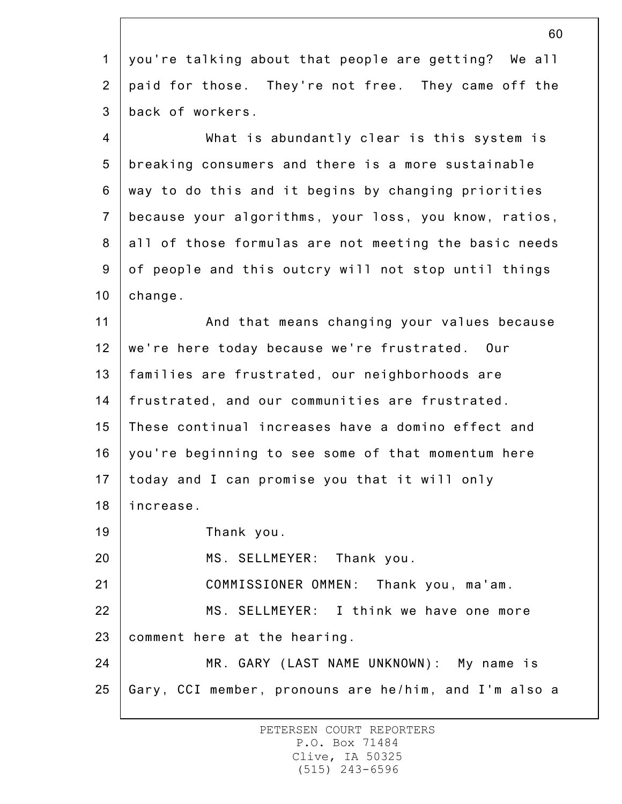1 2 3 4 5 6 7 8 9 10 11 12 13 14 15 16 17 18 19 20 21 22 23 24 25 60 you're talking about that people are getting? We all paid for those. They're not free. They came off the back of workers. What is abundantly clear is this system is breaking consumers and there is a more sustainable way to do this and it begins by changing priorities because your algorithms, your loss, you know, ratios, all of those formulas are not meeting the basic needs of people and this outcry will not stop until things change. And that means changing your values because we're here today because we're frustrated. Our families are frustrated, our neighborhoods are frustrated, and our communities are frustrated. These continual increases have a domino effect and you're beginning to see some of that momentum here today and I can promise you that it will only increase. Thank you. MS. SELLMEYER: Thank you. COMMISSIONER OMMEN: Thank you, ma'am. MS. SELLMEYER: I think we have one more comment here at the hearing. MR. GARY (LAST NAME UNKNOWN): My name is Gary, CCI member, pronouns are he/him, and I'm also a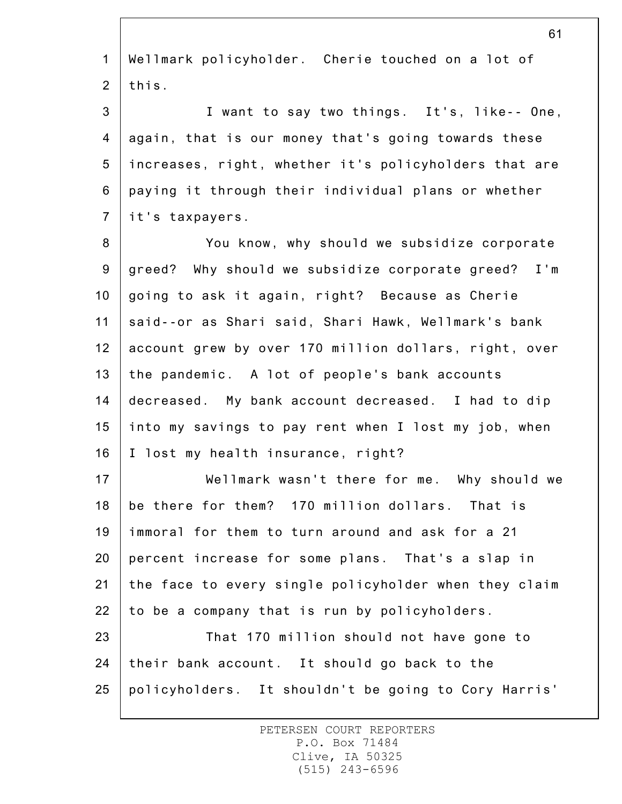1 2 3 4 5 6 7 8 9 10 11 12 13 14 15 16 17 18 19 20 21 22 23 24 25 Wellmark policyholder. Cherie touched on a lot of this. I want to say two things. It's, like-- One, again, that is our money that's going towards these increases, right, whether it's policyholders that are paying it through their individual plans or whether it's taxpayers. You know, why should we subsidize corporate greed? Why should we subsidize corporate greed? I'm going to ask it again, right? Because as Cherie said--or as Shari said, Shari Hawk, Wellmark's bank account grew by over 170 million dollars, right, over the pandemic. A lot of people's bank accounts decreased. My bank account decreased. I had to dip into my savings to pay rent when I lost my job, when I lost my health insurance, right? Wellmark wasn't there for me. Why should we be there for them? 170 million dollars. That is immoral for them to turn around and ask for a 21 percent increase for some plans. That's a slap in the face to every single policyholder when they claim to be a company that is run by policyholders. That 170 million should not have gone to their bank account. It should go back to the policyholders. It shouldn't be going to Cory Harris'

> PETERSEN COURT REPORTERS P.O. Box 71484 Clive, IA 50325 (515) 243-6596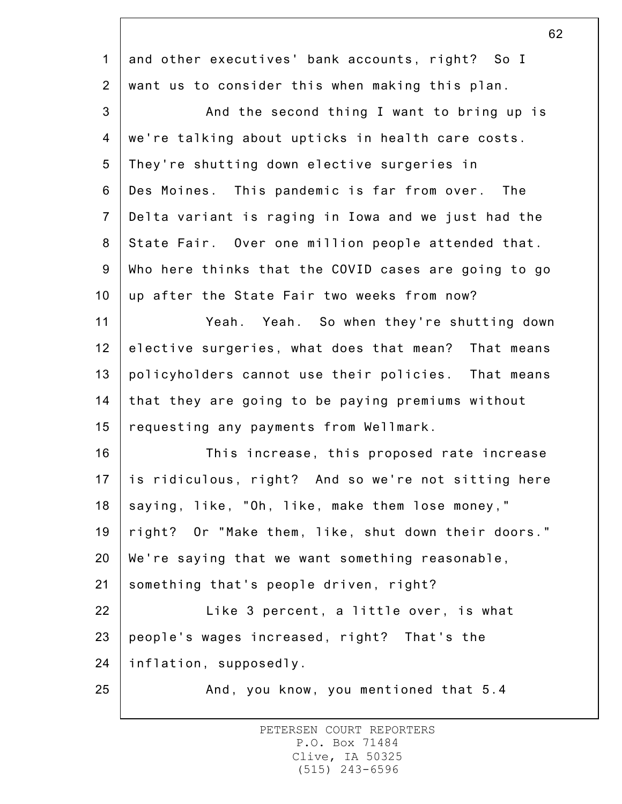|                  | ◡∠                                                   |
|------------------|------------------------------------------------------|
| $\mathbf{1}$     | and other executives' bank accounts, right? So I     |
| $\overline{2}$   | want us to consider this when making this plan.      |
| $\mathbf{3}$     | And the second thing I want to bring up is           |
| $\overline{4}$   | we're talking about upticks in health care costs.    |
| 5                | They're shutting down elective surgeries in          |
| $\,6$            | Des Moines. This pandemic is far from over. The      |
| $\overline{7}$   | Delta variant is raging in Iowa and we just had the  |
| $\bf 8$          | State Fair. Over one million people attended that.   |
| $\boldsymbol{9}$ | Who here thinks that the COVID cases are going to go |
| 10               | up after the State Fair two weeks from now?          |
| 11               | Yeah. Yeah. So when they're shutting down            |
| 12               | elective surgeries, what does that mean? That means  |
| 13               | policyholders cannot use their policies. That means  |
| 14               | that they are going to be paying premiums without    |
| 15               | requesting any payments from Wellmark.               |
| 16               | This increase, this proposed rate increase           |
| 17               | is ridiculous, right? And so we're not sitting here  |
| 18               | saying, like, "Oh, like, make them lose money,"      |
| 19               | right? Or "Make them, like, shut down their doors."  |
| 20               | We're saying that we want something reasonable,      |
| 21               | something that's people driven, right?               |
| 22               | Like 3 percent, a little over, is what               |
| 23               | people's wages increased, right? That's the          |
| 24               | inflation, supposedly.                               |
| 25               | And, you know, you mentioned that 5.4                |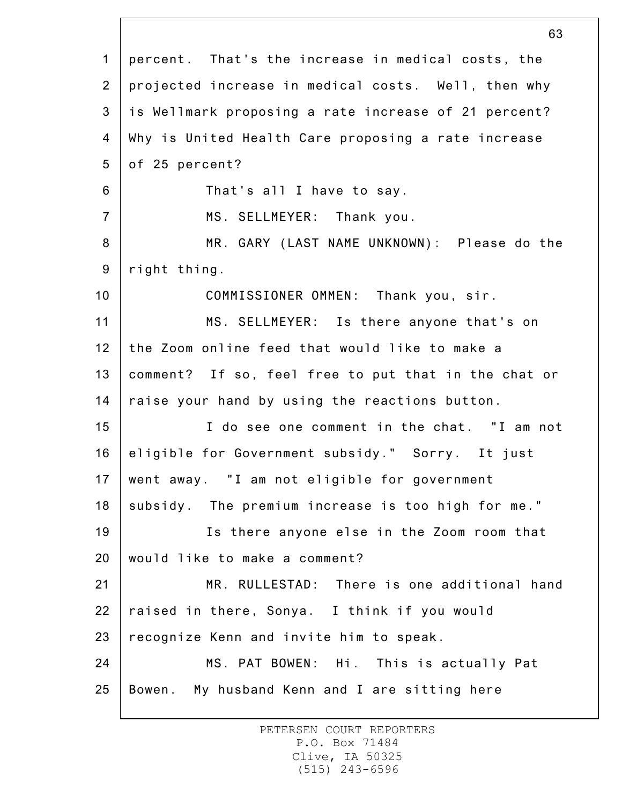|                 | 63                                                   |
|-----------------|------------------------------------------------------|
| $\mathbf{1}$    | percent. That's the increase in medical costs, the   |
| $\overline{2}$  | projected increase in medical costs. Well, then why  |
| 3               | is Wellmark proposing a rate increase of 21 percent? |
| 4               | Why is United Health Care proposing a rate increase  |
| 5               | of 25 percent?                                       |
| 6               | That's all I have to say.                            |
| $\overline{7}$  | MS. SELLMEYER: Thank you.                            |
| 8               | MR. GARY (LAST NAME UNKNOWN): Please do the          |
| $9\,$           | right thing.                                         |
| 10              | COMMISSIONER OMMEN: Thank you, sir.                  |
| 11              | MS. SELLMEYER: Is there anyone that's on             |
| 12              | the Zoom online feed that would like to make a       |
| 13              | comment? If so, feel free to put that in the chat or |
| 14              | raise your hand by using the reactions button.       |
| 15              | I do see one comment in the chat. "I am not          |
| 16              | eligible for Government subsidy." Sorry. It just     |
| 17 <sub>1</sub> | went away. "I am not eligible for government         |
| 18              | subsidy. The premium increase is too high for me."   |
| 19              | Is there anyone else in the Zoom room that           |
| 20              | would like to make a comment?                        |
| 21              | MR. RULLESTAD: There is one additional hand          |
| 22              | raised in there, Sonya. I think if you would         |
| 23              | recognize Kenn and invite him to speak.              |
| 24              | MS. PAT BOWEN: Hi. This is actually Pat              |
| 25              | Bowen. My husband Kenn and I are sitting here        |
|                 |                                                      |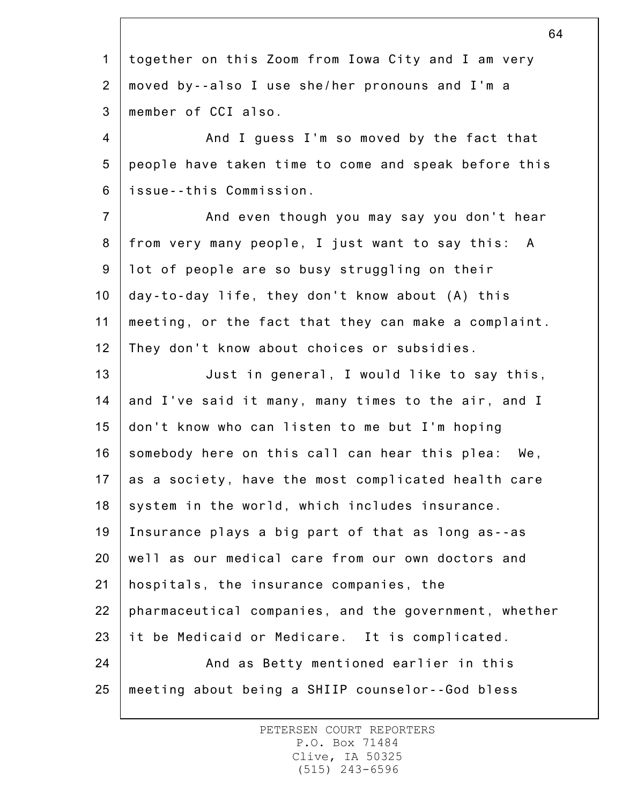| 64                                                    |
|-------------------------------------------------------|
| together on this Zoom from Iowa City and I am very    |
| moved by--also I use she/her pronouns and I'm a       |
| member of CCI also.                                   |
| And I guess I'm so moved by the fact that             |
| people have taken time to come and speak before this  |
| issue--this Commission.                               |
| And even though you may say you don't hear            |
| from very many people, I just want to say this: A     |
| lot of people are so busy struggling on their         |
| day-to-day life, they don't know about (A) this       |
| meeting, or the fact that they can make a complaint.  |
| They don't know about choices or subsidies.           |
| Just in general, I would like to say this,            |
| and I've said it many, many times to the air, and I   |
| don't know who can listen to me but I'm hoping        |
| somebody here on this call can hear this plea: We,    |
| as a society, have the most complicated health care   |
| system in the world, which includes insurance.        |
| Insurance plays a big part of that as long as--as     |
| well as our medical care from our own doctors and     |
| hospitals, the insurance companies, the               |
| pharmaceutical companies, and the government, whether |
| it be Medicaid or Medicare. It is complicated.        |
| And as Betty mentioned earlier in this                |
| meeting about being a SHIIP counselor--God bless      |
|                                                       |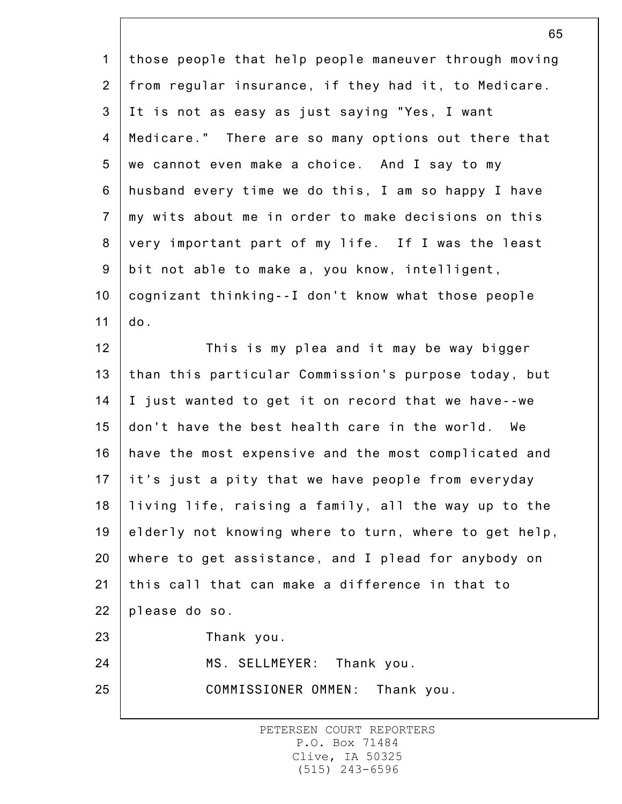1 2 3 4 5 6 7 8 9 10 11 12 13 14 15 16 17 18 19 20 21 22 23 24 25 those people that help people maneuver through moving from regular insurance, if they had it, to Medicare. It is not as easy as just saying "Yes, I want Medicare." There are so many options out there that we cannot even make a choice. And I say to my husband every time we do this, I am so happy I have my wits about me in order to make decisions on this very important part of my life. If I was the least bit not able to make a, you know, intelligent, cognizant thinking--I don't know what those people do. This is my plea and it may be way bigger than this particular Commission's purpose today, but I just wanted to get it on record that we have--we don't have the best health care in the world. We have the most expensive and the most complicated and it's just a pity that we have people from everyday living life, raising a family, all the way up to the elderly not knowing where to turn, where to get help, where to get assistance, and I plead for anybody on this call that can make a difference in that to please do so. Thank you. MS. SELLMEYER: Thank you. COMMISSIONER OMMEN: Thank you.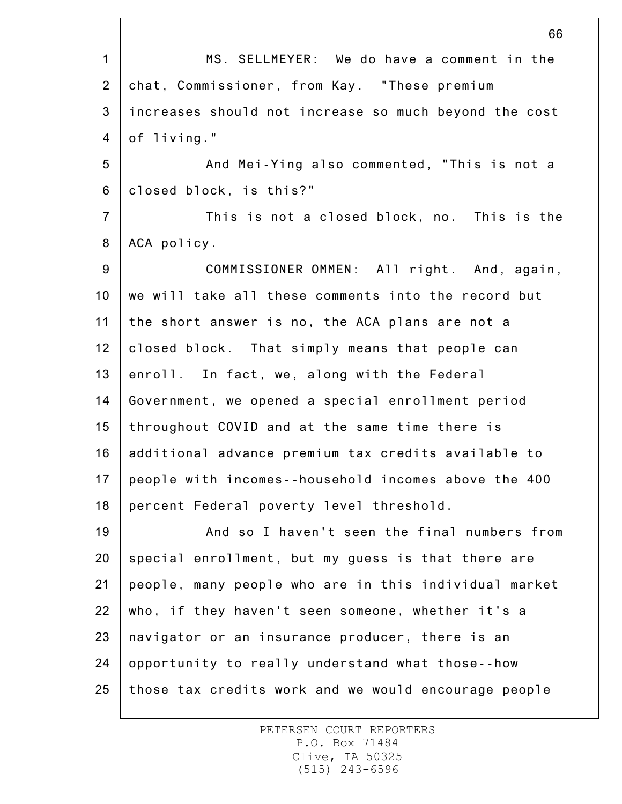1 2 3 4 5 6 7 8 9 10 11 12 13 14 15 16 17 18 19 20 21 22 23 24 25 66 MS. SELLMEYER: We do have a comment in the chat, Commissioner, from Kay. "These premium increases should not increase so much beyond the cost of living." And Mei-Ying also commented, "This is not a closed block, is this?" This is not a closed block, no. This is the ACA policy. COMMISSIONER OMMEN: All right. And, again, we will take all these comments into the record but the short answer is no, the ACA plans are not a closed block. That simply means that people can enroll. In fact, we, along with the Federal Government, we opened a special enrollment period throughout COVID and at the same time there is additional advance premium tax credits available to people with incomes--household incomes above the 400 percent Federal poverty level threshold. And so I haven't seen the final numbers from special enrollment, but my guess is that there are people, many people who are in this individual market who, if they haven't seen someone, whether it's a navigator or an insurance producer, there is an opportunity to really understand what those--how those tax credits work and we would encourage people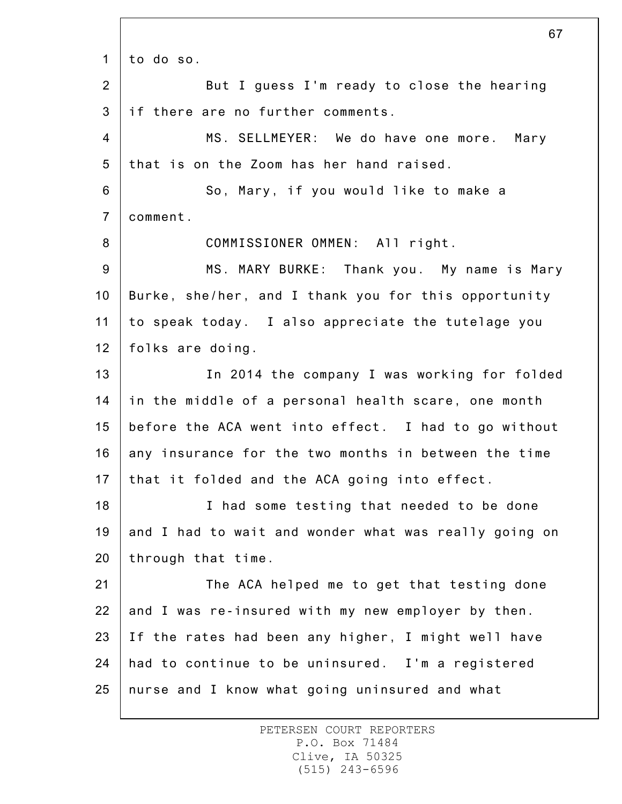1 2 3 4 5 6 7 8 9 10 11 12 13 14 15 16 17 18 19 20 21 22 23 24 25 67 to do so. But I guess I'm ready to close the hearing if there are no further comments. MS. SELLMEYER: We do have one more. Mary that is on the Zoom has her hand raised. So, Mary, if you would like to make a comment. COMMISSIONER OMMEN: All right. MS. MARY BURKE: Thank you. My name is Mary Burke, she/her, and I thank you for this opportunity to speak today. I also appreciate the tutelage you folks are doing. In 2014 the company I was working for folded in the middle of a personal health scare, one month before the ACA went into effect. I had to go without any insurance for the two months in between the time that it folded and the ACA going into effect. I had some testing that needed to be done and I had to wait and wonder what was really going on through that time. The ACA helped me to get that testing done and I was re-insured with my new employer by then. If the rates had been any higher, I might well have had to continue to be uninsured. I'm a registered nurse and I know what going uninsured and what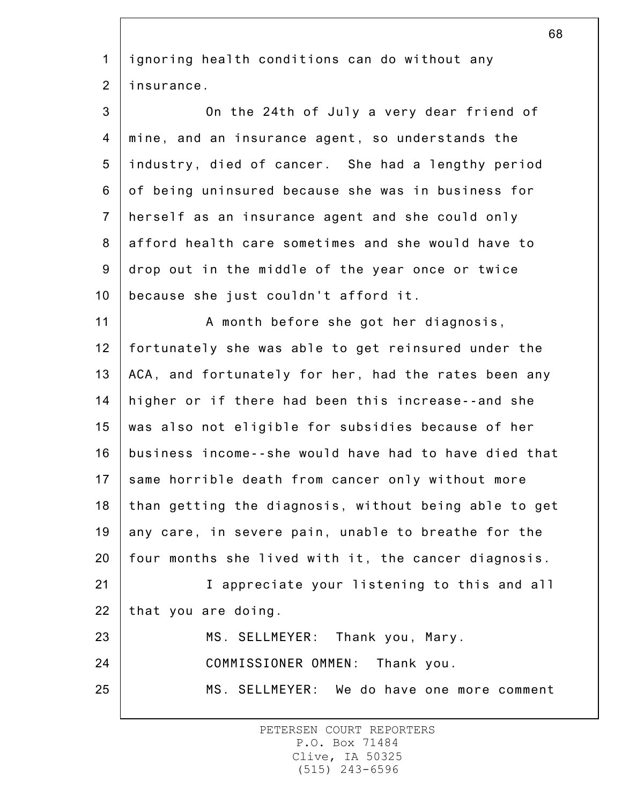1 2 3 4 5 6 7 8 9 10 11 12 13 14 15 16 17 18 19 20 21 22 23 24 25 ignoring health conditions can do without any insurance. On the 24th of July a very dear friend of mine, and an insurance agent, so understands the industry, died of cancer. She had a lengthy period of being uninsured because she was in business for herself as an insurance agent and she could only afford health care sometimes and she would have to drop out in the middle of the year once or twice because she just couldn't afford it. A month before she got her diagnosis, fortunately she was able to get reinsured under the ACA, and fortunately for her, had the rates been any higher or if there had been this increase--and she was also not eligible for subsidies because of her business income--she would have had to have died that same horrible death from cancer only without more than getting the diagnosis, without being able to get any care, in severe pain, unable to breathe for the four months she lived with it, the cancer diagnosis. I appreciate your listening to this and all that you are doing. MS. SELLMEYER: Thank you, Mary. COMMISSIONER OMMEN: Thank you. MS. SELLMEYER: We do have one more comment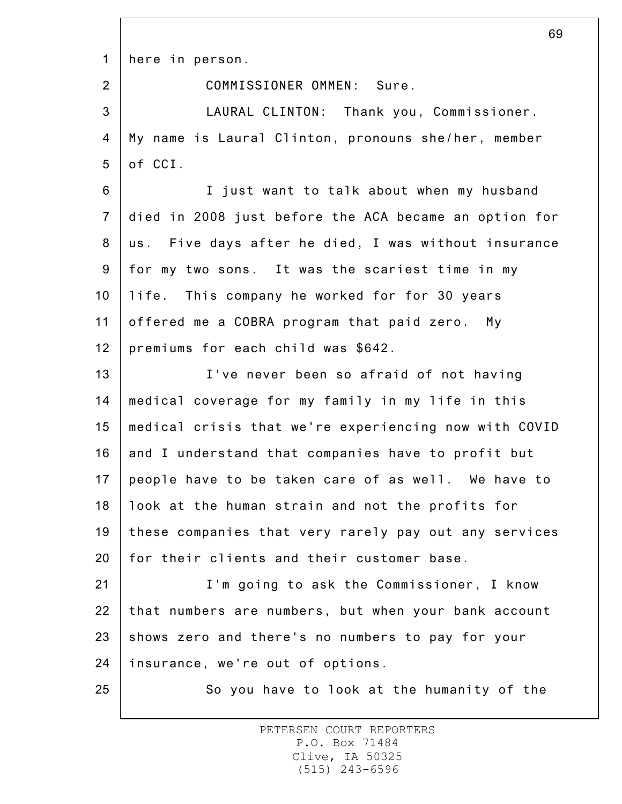1 here in person.

2

COMMISSIONER OMMEN: Sure.

3 4 5 LAURAL CLINTON: Thank you, Commissioner. My name is Laural Clinton, pronouns she/her, member of CCI.

6 7 8 9 10 11 12 I just want to talk about when my husband died in 2008 just before the ACA became an option for us. Five days after he died, I was without insurance for my two sons. It was the scariest time in my life. This company he worked for for 30 years offered me a COBRA program that paid zero. My premiums for each child was \$642.

13 14 15 16 17 18 19 20 I've never been so afraid of not having medical coverage for my family in my life in this medical crisis that we're experiencing now with COVID and I understand that companies have to profit but people have to be taken care of as well. We have to look at the human strain and not the profits for these companies that very rarely pay out any services for their clients and their customer base.

21 22 23 24 I'm going to ask the Commissioner, I know that numbers are numbers, but when your bank account shows zero and there's no numbers to pay for your insurance, we're out of options.

25

So you have to look at the humanity of the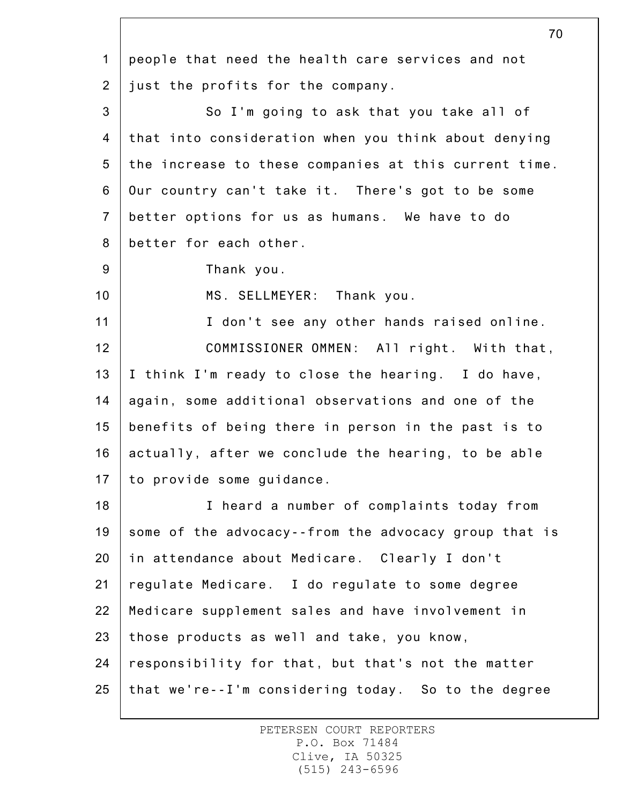1 2 3 4 5 6 7 8 9 10 11 12 13 14 15 16 17 18 19 20 21 22 23 24 25 people that need the health care services and not just the profits for the company. So I'm going to ask that you take all of that into consideration when you think about denying the increase to these companies at this current time. Our country can't take it. There's got to be some better options for us as humans. We have to do better for each other. Thank you. MS. SELLMEYER: Thank you. I don't see any other hands raised online. COMMISSIONER OMMEN: All right. With that, I think I'm ready to close the hearing. I do have, again, some additional observations and one of the benefits of being there in person in the past is to actually, after we conclude the hearing, to be able to provide some guidance. I heard a number of complaints today from some of the advocacy--from the advocacy group that is in attendance about Medicare. Clearly I don't regulate Medicare. I do regulate to some degree Medicare supplement sales and have involvement in those products as well and take, you know, responsibility for that, but that's not the matter that we're--I'm considering today. So to the degree

> PETERSEN COURT REPORTERS P.O. Box 71484 Clive, IA 50325 (515) 243-6596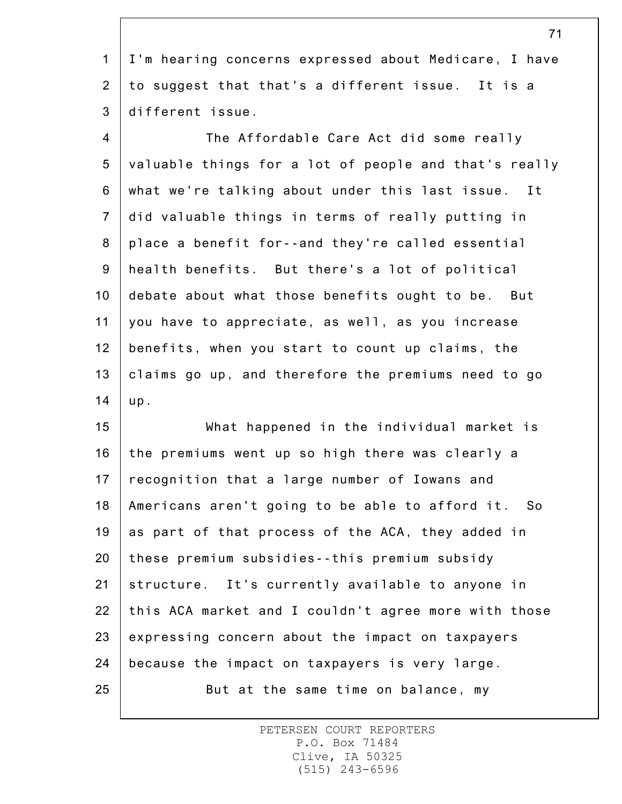1 2 3 I'm hearing concerns expressed about Medicare, I have to suggest that that's a different issue. It is a different issue.

4 5 6 7 8 9 10 11 12 13 14 The Affordable Care Act did some really valuable things for a lot of people and that's really what we're talking about under this last issue. It did valuable things in terms of really putting in place a benefit for--and they're called essential health benefits. But there's a lot of political debate about what those benefits ought to be. But you have to appreciate, as well, as you increase benefits, when you start to count up claims, the claims go up, and therefore the premiums need to go up.

15 16 17 18 19 20 21 22 23 24 25 What happened in the individual market is the premiums went up so high there was clearly a recognition that a large number of Iowans and Americans aren't going to be able to afford it. So as part of that process of the ACA, they added in these premium subsidies--this premium subsidy structure. It's currently available to anyone in this ACA market and I couldn't agree more with those expressing concern about the impact on taxpayers because the impact on taxpayers is very large. But at the same time on balance, my

> PETERSEN COURT REPORTERS P.O. Box 71484 Clive, IA 50325 (515) 243-6596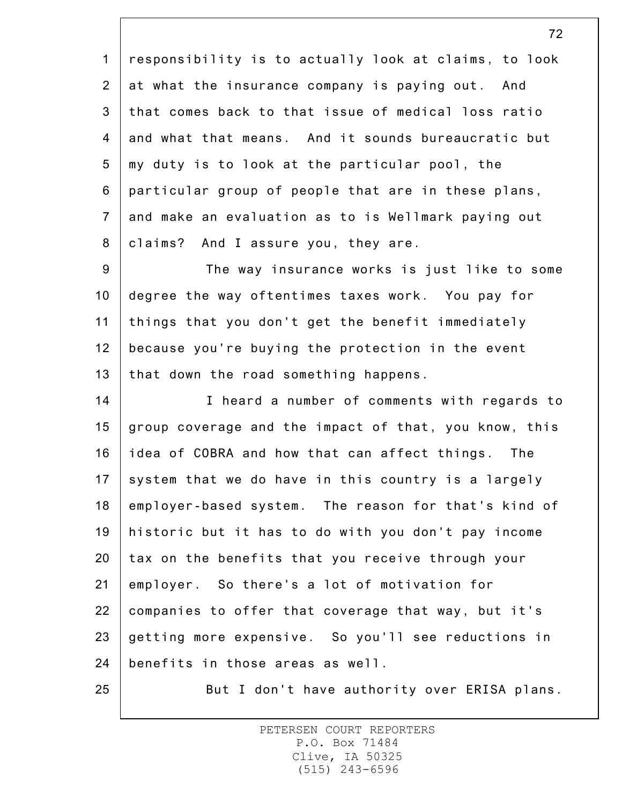1 2 3 4 5 6 7 8 responsibility is to actually look at claims, to look at what the insurance company is paying out. And that comes back to that issue of medical loss ratio and what that means. And it sounds bureaucratic but my duty is to look at the particular pool, the particular group of people that are in these plans, and make an evaluation as to is Wellmark paying out claims? And I assure you, they are.

9 10 11 12 13 The way insurance works is just like to some degree the way oftentimes taxes work. You pay for things that you don't get the benefit immediately because you're buying the protection in the event that down the road something happens.

14 15 16 17 18 19 20 21 22 23 24 I heard a number of comments with regards to group coverage and the impact of that, you know, this idea of COBRA and how that can affect things. The system that we do have in this country is a largely employer-based system. The reason for that's kind of historic but it has to do with you don't pay income tax on the benefits that you receive through your employer. So there's a lot of motivation for companies to offer that coverage that way, but it's getting more expensive. So you'll see reductions in benefits in those areas as well.

25

But I don't have authority over ERISA plans.

PETERSEN COURT REPORTERS P.O. Box 71484 Clive, IA 50325 (515) 243-6596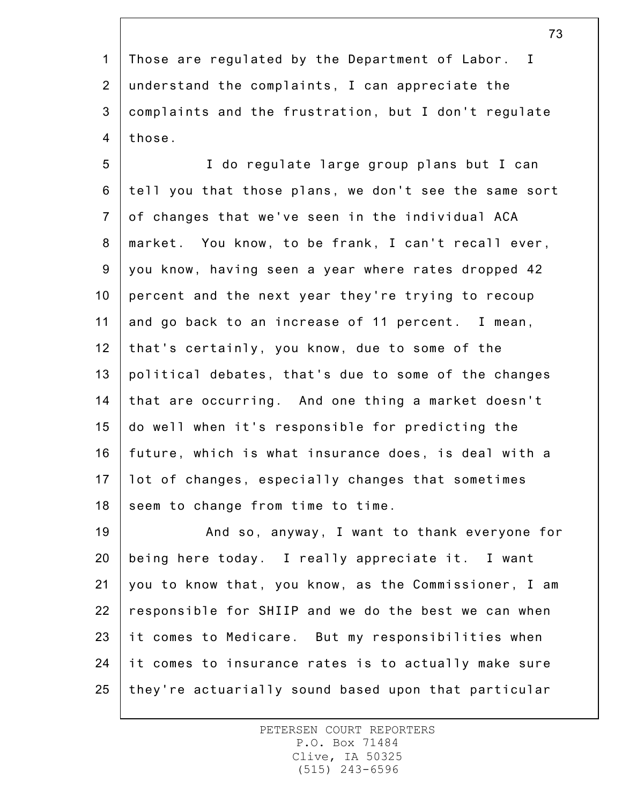1 2 3 4 Those are regulated by the Department of Labor. I understand the complaints, I can appreciate the complaints and the frustration, but I don't regulate those.

5 6 7 8 9 10 11 12 13 14 15 16 17 18 I do regulate large group plans but I can tell you that those plans, we don't see the same sort of changes that we've seen in the individual ACA market. You know, to be frank, I can't recall ever, you know, having seen a year where rates dropped 42 percent and the next year they're trying to recoup and go back to an increase of 11 percent. I mean, that's certainly, you know, due to some of the political debates, that's due to some of the changes that are occurring. And one thing a market doesn't do well when it's responsible for predicting the future, which is what insurance does, is deal with a lot of changes, especially changes that sometimes seem to change from time to time.

19 20 21 22 23 24 25 And so, anyway, I want to thank everyone for being here today. I really appreciate it. I want you to know that, you know, as the Commissioner, I am responsible for SHIIP and we do the best we can when it comes to Medicare. But my responsibilities when it comes to insurance rates is to actually make sure they're actuarially sound based upon that particular

> PETERSEN COURT REPORTERS P.O. Box 71484 Clive, IA 50325 (515) 243-6596

73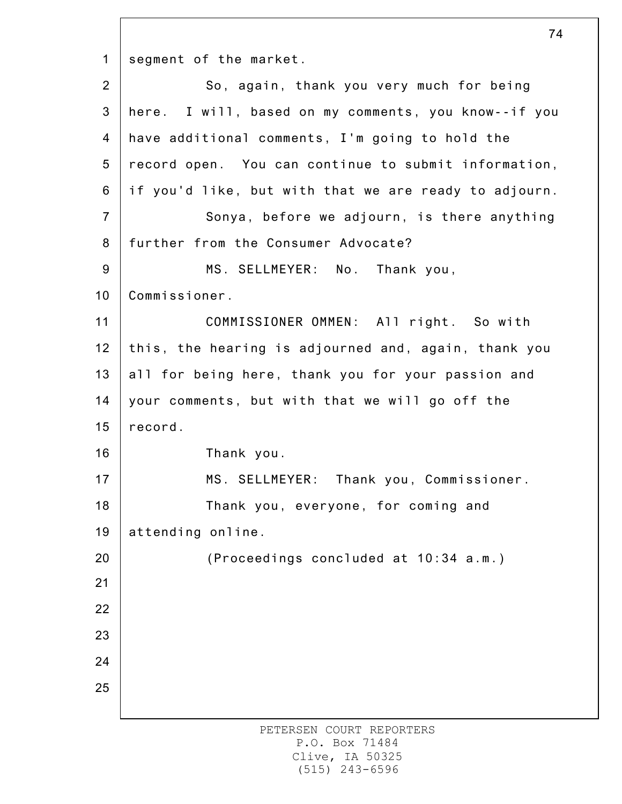1 segment of the market.

2 3 4 5 6 7 8 9 10 11 12 13 14 15 16 17 18 19 20 21 22 23 24 25 So, again, thank you very much for being here. I will, based on my comments, you know--if you have additional comments, I'm going to hold the record open. You can continue to submit information, if you'd like, but with that we are ready to adjourn. Sonya, before we adjourn, is there anything further from the Consumer Advocate? MS. SELLMEYER: No. Thank you, Commissioner. COMMISSIONER OMMEN: All right. So with this, the hearing is adjourned and, again, thank you all for being here, thank you for your passion and your comments, but with that we will go off the record. Thank you. MS. SELLMEYER: Thank you, Commissioner. Thank you, everyone, for coming and attending online. (Proceedings concluded at 10:34 a.m.)